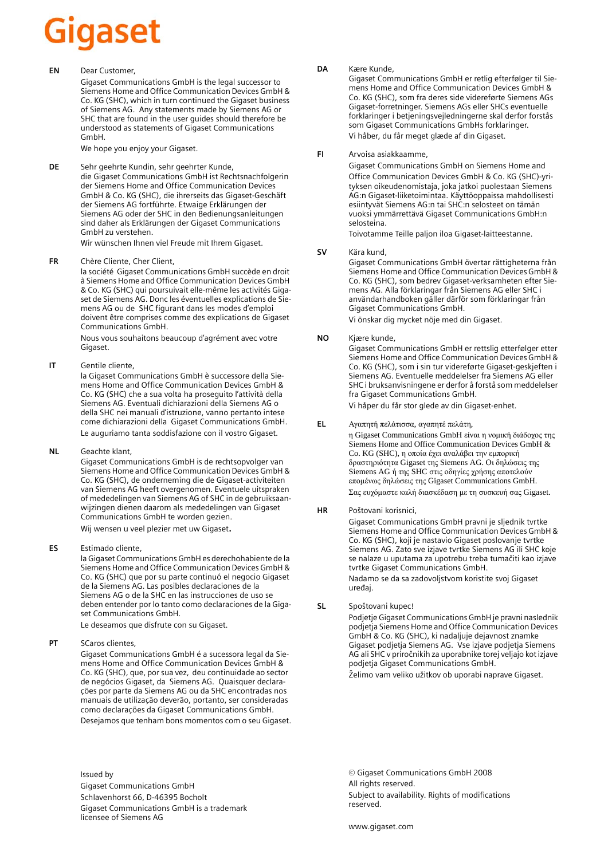# iigaset

**EN** Dear Customer,

Gigaset Communications GmbH is the legal successor to Siemens Home and Office Communication Devices GmbH & Co. KG (SHC), which in turn continued the Gigaset business of Siemens AG. Any statements made by Siemens AG or SHC that are found in the user guides should therefore be understood as statements of Gigaset Communications GmbH.

We hope you enjoy your Gigaset.

**DE** Sehr geehrte Kundin, sehr geehrter Kunde, die Gigaset Communications GmbH ist Rechtsnachfolgerin der Siemens Home and Office Communication Devices GmbH & Co. KG (SHC), die ihrerseits das Gigaset-Geschäft der Siemens AG fortführte. Etwaige Erklärungen der Siemens AG oder der SHC in den Bedienungsanleitungen sind daher als Erklärungen der Gigaset Communications GmbH zu verstehen.

Wir wünschen Ihnen viel Freude mit Ihrem Gigaset.

**FR** Chère Cliente, Cher Client,

la société Gigaset Communications GmbH succède en droit à Siemens Home and Office Communication Devices GmbH & Co. KG (SHC) qui poursuivait elle-même les activités Gigaset de Siemens AG. Donc les éventuelles explications de Siemens AG ou de SHC figurant dans les modes d'emploi doivent être comprises comme des explications de Gigaset Communications GmbH.

Nous vous souhaitons beaucoup d'agrément avec votre Gigaset.

**IT** Gentile cliente,

la Gigaset Communications GmbH è successore della Siemens Home and Office Communication Devices GmbH & Co. KG (SHC) che a sua volta ha proseguito l'attività della Siemens AG. Eventuali dichiarazioni della Siemens AG o della SHC nei manuali d'istruzione, vanno pertanto intese come dichiarazioni della Gigaset Communications GmbH. Le auguriamo tanta soddisfazione con il vostro Gigaset.

**NL** Geachte klant,

Gigaset Communications GmbH is de rechtsopvolger van Siemens Home and Office Communication Devices GmbH & Co. KG (SHC), de onderneming die de Gigaset-activiteiten van Siemens AG heeft overgenomen. Eventuele uitspraken of mededelingen van Siemens AG of SHC in de gebruiksaanwijzingen dienen daarom als mededelingen van Gigaset Communications GmbH te worden gezien.

Wij wensen u veel plezier met uw Gigaset.

**ES** Estimado cliente,

la Gigaset Communications GmbH es derechohabiente de la Siemens Home and Office Communication Devices GmbH & Co. KG (SHC) que por su parte continuó el negocio Gigaset de la Siemens AG. Las posibles declaraciones de la Siemens AG o de la SHC en las instrucciones de uso se deben entender por lo tanto como declaraciones de la Gigaset Communications GmbH.

Le deseamos que disfrute con su Gigaset.

**PT** SCaros clientes,

Gigaset Communications GmbH é a sucessora legal da Siemens Home and Office Communication Devices GmbH & Co. KG (SHC), que, por sua vez, deu continuidade ao sector de negócios Gigaset, da Siemens AG. Quaisquer declarações por parte da Siemens AG ou da SHC encontradas nos manuais de utilização deverão, portanto, ser consideradas como declarações da Gigaset Communications GmbH. Desejamos que tenham bons momentos com o seu Gigaset. **DA** Kære Kunde,

Gigaset Communications GmbH er retlig efterfølger til Siemens Home and Office Communication Devices GmbH & Co. KG (SHC), som fra deres side videreførte Siemens AGs Gigaset-forretninger. Siemens AGs eller SHCs eventuelle forklaringer i betjeningsvejledningerne skal derfor forstås som Gigaset Communications GmbHs forklaringer. Vi håber, du får meget glæde af din Gigaset.

#### **FI** Arvoisa asiakkaamme,

Gigaset Communications GmbH on Siemens Home and Office Communication Devices GmbH & Co. KG (SHC)-yrityksen oikeudenomistaja, joka jatkoi puolestaan Siemens AG:n Gigaset-liiketoimintaa. Käyttöoppaissa mahdollisesti esiintyvät Siemens AG:n tai SHC:n selosteet on tämän vuoksi ymmärrettävä Gigaset Communications GmbH:n selosteina.

Toivotamme Teille paljon iloa Gigaset-laitteestanne.

**SV** Kära kund,

Gigaset Communications GmbH övertar rättigheterna från Siemens Home and Office Communication Devices GmbH & Co. KG (SHC), som bedrev Gigaset-verksamheten efter Siemens AG. Alla förklaringar från Siemens AG eller SHC i användarhandboken gäller därför som förklaringar från Gigaset Communications GmbH.

Vi önskar dig mycket nöje med din Gigaset.

**NO** Kjære kunde,

Gigaset Communications GmbH er rettslig etterfølger etter Siemens Home and Office Communication Devices GmbH & Co. KG (SHC), som i sin tur videreførte Gigaset-geskjeften i Siemens AG. Eventuelle meddelelser fra Siemens AG eller SHC i bruksanvisningene er derfor å forstå som meddelelser fra Gigaset Communications GmbH.

Vi håper du får stor glede av din Gigaset-enhet.

#### **EL** Αγαπητή πελάτισσα, αγαπητέ πελάτη,

η Gigaset Communications GmbH είναι η νομική διάδοχος της Siemens Home and Office Communication Devices GmbH & Co. KG (SHC), η οποία έχει αναλάβει την εμπορική δραστηριότητα Gigaset της Siemens AG. Οι δηλώσεις της Siemens AG ή της SHC στις οδηγίες χρήσης αποτελούν επομένως δηλώσεις της Gigaset Communications GmbH. Σας ευχόμαστε καλή διασκέδαση με τη συσκευή σας Gigaset.

**HR** Poštovani korisnici,

Gigaset Communications GmbH pravni je sljednik tvrtke Siemens Home and Office Communication Devices GmbH & Co. KG (SHC), koji je nastavio Gigaset poslovanje tvrtke Siemens AG. Zato sve izjave tvrtke Siemens AG ili SHC koje se nalaze u uputama za upotrebu treba tumačiti kao izjave tvrtke Gigaset Communications GmbH.

Nadamo se da sa zadovoljstvom koristite svoj Gigaset uređaj.

**SL** Spoštovani kupec!

Podjetje Gigaset Communications GmbH je pravni naslednik podjetja Siemens Home and Office Communication Devices GmbH & Co. KG (SHC), ki nadaljuje dejavnost znamke Gigaset podjetja Siemens AG. Vse izjave podjetja Siemens AG ali SHC v priročnikih za uporabnike torej veljajo kot izjave podjetja Gigaset Communications GmbH.

Želimo vam veliko užitkov ob uporabi naprave Gigaset.

Issued by Gigaset Communications GmbH Schlavenhorst 66, D-46395 Bocholt Gigaset Communications GmbH is a trademark licensee of Siemens AG

© Gigaset Communications GmbH 2008 All rights reserved. Subject to availability. Rights of modifications reserved.

www.gigaset.com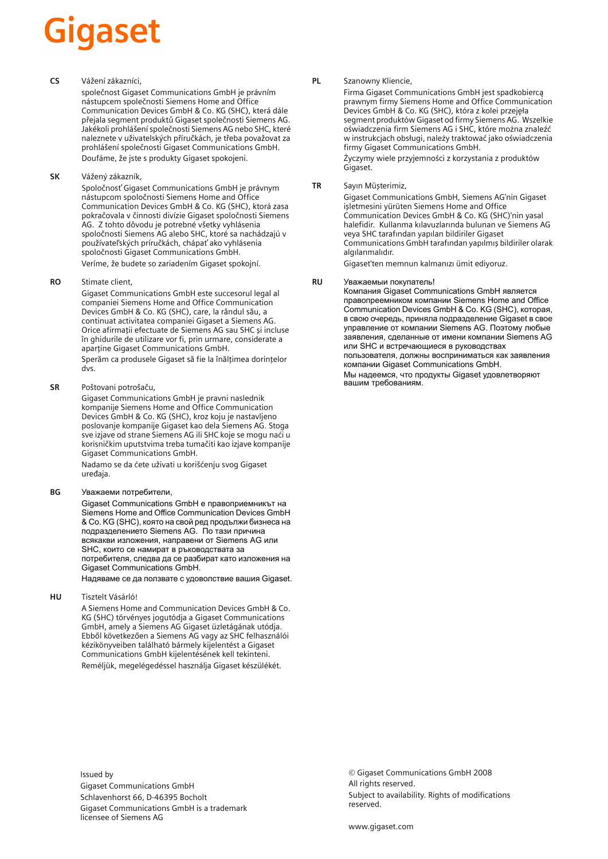# Gigaset

#### **CS** Vážení zákazníci,

společnost Gigaset Communications GmbH je právním nástupcem společnosti Siemens Home and Office Communication Devices GmbH & Co. KG (SHC), která dále přejala segment produktů Gigaset společnosti Siemens AG. Jakékoli prohlášení společnosti Siemens AG nebo SHC, které naleznete v uživatelských příručkách, je třeba považovat za prohlášení společnosti Gigaset Communications GmbH. Doufáme, že jste s produkty Gigaset spokojeni.

#### **SK** Vážený zákazník,

Spoločnosť Gigaset Communications GmbH je právnym nástupcom spoločnosti Siemens Home and Office Communication Devices GmbH & Co. KG (SHC), ktorá zasa pokračovala v činnosti divízie Gigaset spoločnosti Siemens AG. Z tohto dôvodu je potrebné všetky vyhlásenia spoločnosti Siemens AG alebo SHC, ktoré sa nachádzajú v používateľských príručkách, chápať ako vyhlásenia spoločnosti Gigaset Communications GmbH. Veríme, že budete so zariadením Gigaset spokojní.

#### **RO** Stimate client,

Gigaset Communications GmbH este succesorul legal al companiei Siemens Home and Office Communication Devices GmbH & Co. KG (SHC), care, la rândul său, a continuat activitatea companiei Gigaset a Siemens AG. Orice afirmaţii efectuate de Siemens AG sau SHC şi incluse în ghidurile de utilizare vor fi, prin urmare, considerate a aparține Gigaset Communications GmbH.

Sperăm ca produsele Gigaset să fie la înălţimea dorinţelor dvs.

**SR** Poštovani potrošaču,

Gigaset Communications GmbH je pravni naslednik kompanije Siemens Home and Office Communication Devices GmbH & Co. KG (SHC), kroz koju je nastavljeno poslovanje kompanije Gigaset kao dela Siemens AG. Stoga sve izjave od strane Siemens AG ili SHC koje se mogu naći u korisničkim uputstvima treba tumačiti kao izjave kompanije Gigaset Communications GmbH.

Nadamo se da ćete uživati u korišćenju svog Gigaset uređaja.

**BG** Уважаеми потребители,

Gigaset Communications GmbH е правоприемникът на Siemens Home and Office Communication Devices GmbH & Co. KG (SHC), която на свой ред продължи бизнеса на подразделението Siemens AG. По тази причина всякакви изложения, направени от Siemens AG или SHC, които се намират в ръководствата за потребителя, следва да се разбират като изложения на Gigaset Communications GmbH.

Надяваме се да ползвате с удоволствие вашия Gigaset.

**HU** Tisztelt Vásárló!

A Siemens Home and Communication Devices GmbH & Co. KG (SHC) törvényes jogutódja a Gigaset Communications GmbH, amely a Siemens AG Gigaset üzletágának utódja. Ebből következően a Siemens AG vagy az SHC felhasználói kézikönyveiben található bármely kijelentést a Gigaset Communications GmbH kijelentésének kell tekinteni. Reméljük, megelégedéssel használja Gigaset készülékét.

#### **PL** Szanowny Kliencie,

Firma Gigaset Communications GmbH jest spadkobiercą prawnym firmy Siemens Home and Office Communication Devices GmbH & Co. KG (SHC), która z kolei przejęła segment produktów Gigaset od firmy Siemens AG. Wszelkie oświadczenia firm Siemens AG i SHC, które można znaleźć w instrukcjach obsługi, należy traktować jako oświadczenia firmy Gigaset Communications GmbH.

Życzymy wiele przyjemności z korzystania z produktów Gigaset.

#### **TR** Sayın Müşterimiz,

Gigaset Communications GmbH, Siemens AG'nin Gigaset işletmesini yürüten Siemens Home and Office Communication Devices GmbH & Co. KG (SHC)'nin yasal halefidir. Kullanma kılavuzlarında bulunan ve Siemens AG veya SHC tarafından yapılan bildiriler Gigaset Communications GmbH tarafından yapılmış bildiriler olarak algılanmalıdır.

Gigaset'ten memnun kalmanızı ümit ediyoruz.

#### **RU** Уважаемыи покупатель!

Компания Gigaset Communications GmbH является правопреемником компании Siemens Home and Office Communication Devices GmbH & Co. KG (SHC), которая, в свою очередь, приняла подразделение Gigaset в свое управление от компании Siemens AG. Поэтому любые заявления, сделанные от имени компании Siemens AG или SHC и встречающиеся в руководствах пользователя, должны восприниматься как заявления компании Gigaset Communications GmbH.

Мы надеемся, что продукты Gigaset удовлетворяют вашим требованиям.

Issued by Gigaset Communications GmbH Schlavenhorst 66, D-46395 Bocholt Gigaset Communications GmbH is a trademark licensee of Siemens AG

© Gigaset Communications GmbH 2008 All rights reserved. Subject to availability. Rights of modifications reserved.

www.gigaset.com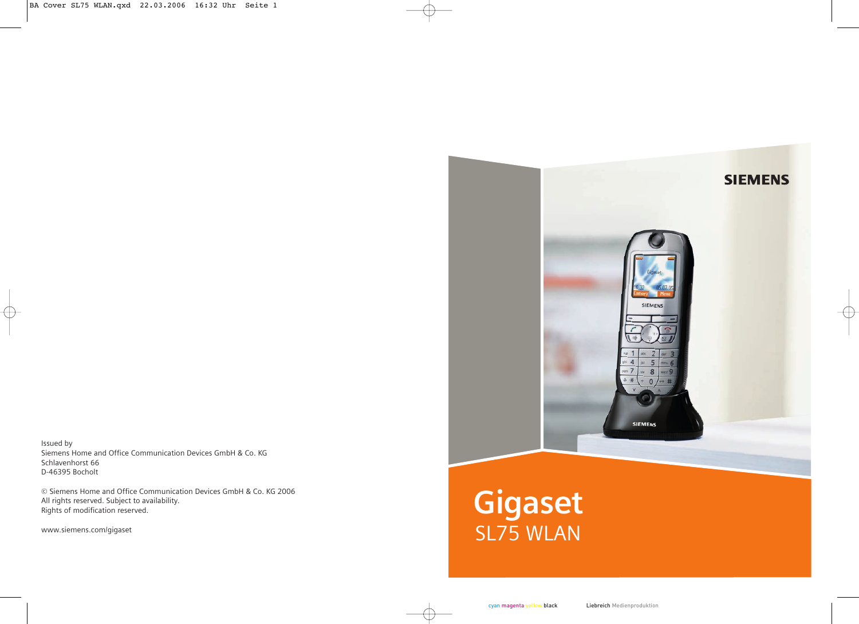

Issued by Siemens Home and Office Communication Devices GmbH & Co. KG Schlavenhorst 66 D-46395 Bocholt

© Siemens Home and Office Communication Devices GmbH & Co. KG 2006 All rights reserved. Subject to availability. Rights of modification reserved.

www.siemens.com/gigaset

# SL75 WLAN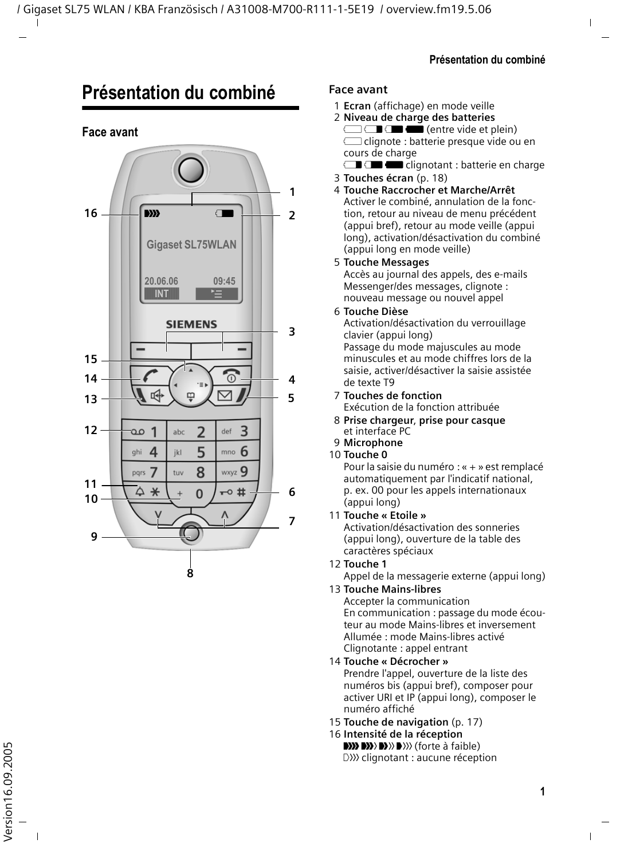## <span id="page-3-2"></span><span id="page-3-0"></span>**Présentation du combiné**

#### **Face avant**

#### **1 16** DI START START START START START START START START START START START START START START START START START START  $\overline{\phantom{a}}$ **235467 Gigaset SL75WLAN 20.06.06 09:45 §§§§§§INT§§§§§§** ¨ **SIEMENS**  $\overline{\mathbf{3}}$ **15 14** .<br>(0 4 吲  $\overline{a}$ **13 12**  $\overline{\mathbf{z}}$  $\overline{\mathbf{3}}$  $\mathbf{1}$ 0. abc  $d$ of  $\Delta$ 5 6 ghi ikl mno 7 tuv 8  $_{\text{wxyz}}$  Q pars **119**  $\Delta$  $\ast$  $\overline{0}$  $\overline{a}$ 6 **10** $\overline{z}$  $\pi$ **8**

#### **Face avant**

- <span id="page-3-1"></span><sup>1</sup> **Ecran** (affichage) en mode veille 2 **Niveau de charge des batteries**
- $\Box \Box \Box$  (entre vide et plein)  $\supset$  clignote : batterie presque vide ou en cours de charge
- $\blacksquare$  $\blacksquare$  clignotant : batterie en charge
- 3 **Touches écran** [\(p. 18\)](#page-20-0)
- 4 **Touche Raccrocher et Marche/Arrêt** Activer le combiné, annulation de la fonction, retour au niveau de menu précédent (appui bref), retour au mode veille (appui long), activation/désactivation du combiné (appui long en mode veille)
- 5 **Touche Messages**

Accès au journal des appels, des e-mails Messenger/des messages, clignote : nouveau message ou nouvel appel

6 **Touche Dièse**

Activation/désactivation du verrouillage clavier (appui long) Passage du mode majuscules au mode minuscules et au mode chiffres lors de la saisie, activer/désactiver la saisie assistée de texte T9

- 7 **Touches de fonction** Exécution de la fonction attribuée
- 8 **Prise chargeur**, **prise pour casque** et interface PC
- 9 **Microphone**
- 10 **Touche 0**

Pour la saisie du numéro : « + » est remplacé automatiquement par l'indicatif national, p. ex. 00 pour les appels internationaux (appui long)

11 **Touche « Etoile »**

Activation/désactivation des sonneries (appui long), ouverture de la table des caractères spéciaux

12 **Touche 1**

Appel de la messagerie externe (appui long)

13 **Touche Mains-libres**

Accepter la communication En communication : passage du mode écouteur au mode Mains-libres et inversement Allumée : mode Mains-libres activé Clignotante : appel entrant

14 **Touche « Décrocher »**

Prendre l'appel, ouverture de la liste des numéros bis (appui bref), composer pour activer URI et IP (appui long), composer le numéro affiché

- 15 **Touche de navigation** [\(p. 17\)](#page-19-0)
- 16 **Intensité de la réception DI) DI) DI**) DI)) (forte à faible)<br>DI)) clignotant : aucune réception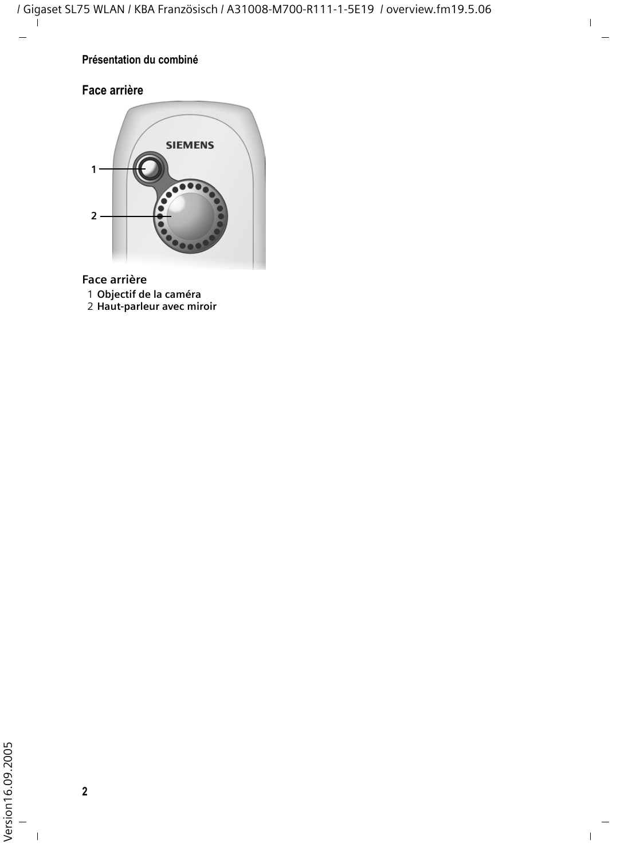#### **Présentation du combiné**

#### **Face arrière**



**Face arrière**

- **Objectif de la caméra**
- **Haut-parleur avec miroir**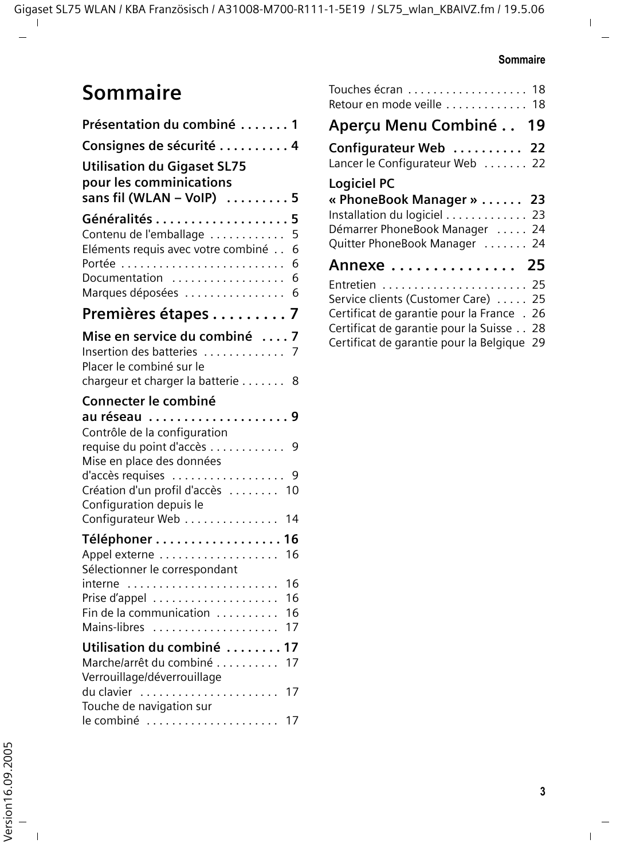## **Sommaire**

| Présentation du combiné  1                                                                                                                            |
|-------------------------------------------------------------------------------------------------------------------------------------------------------|
| Consignes de sécurité  4                                                                                                                              |
| <b>Utilisation du Gigaset SL75</b><br>pour les comminications<br>sans fil (WLAN - VoIP) $\dots\dots 5$                                                |
| Généralités 5<br>Contenu de l'emballage<br>5<br>Eléments requis avec votre combiné<br>6<br>Portée<br>6<br>Documentation<br>6<br>Marques déposées<br>6 |
| Premières étapes 7                                                                                                                                    |
| Mise en service du combiné 7<br>Insertion des batteries  7<br>Placer le combiné sur le<br>chargeur et charger la batterie 8                           |
| Connecter le combiné                                                                                                                                  |
| au réseau 9<br>Contrôle de la configuration                                                                                                           |
| requise du point d'accès 9<br>Mise en place des données                                                                                               |
| d'accès requises<br>9<br>Création d'un profil d'accès  10<br>Configuration depuis le                                                                  |
| Configurateur Web<br>14                                                                                                                               |
| Téléphoner 16<br>Appel externe<br>16<br>Sélectionner le correspondant                                                                                 |
| 16<br>interne                                                                                                                                         |
| Prise d'appel<br>16<br>Fin de la communication<br>16                                                                                                  |
| Mains-libres<br>17                                                                                                                                    |
| Utilisation du combiné<br>17                                                                                                                          |
| Marche/arrêt du combiné<br>17                                                                                                                         |
| Verrouillage/déverrouillage<br>du clavier<br>17<br>Touche de navigation sur                                                                           |
| le combiné<br>17                                                                                                                                      |

| Touches écran 18<br>Retour en mode veille  18                                                                                                     |  |
|---------------------------------------------------------------------------------------------------------------------------------------------------|--|
| Aperçu Menu Combiné 19                                                                                                                            |  |
| Configurateur Web  22<br>Lancer le Configurateur Web  22                                                                                          |  |
| <b>Logiciel PC</b><br>« PhoneBook Manager »  23<br>Installation du logiciel 23<br>Démarrer PhoneBook Manager  24<br>Quitter PhoneBook Manager  24 |  |
| Annexe 25                                                                                                                                         |  |
| Service clients (Customer Care)  25<br>Certificat de garantie pour la France . 26                                                                 |  |
| Certificat de garantie pour la Suisse 28<br>Certificat de garantie pour la Belgique 29                                                            |  |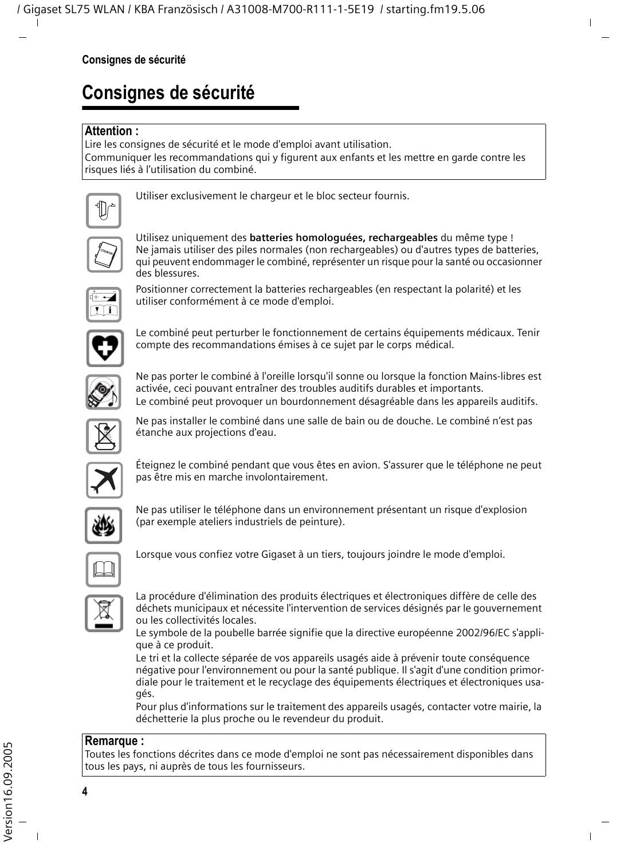## <span id="page-6-0"></span>**Consignes de sécurité**

#### **Attention :**

Lire les consignes de sécurité et le mode d'emploi avant utilisation.

Communiquer les recommandations qui y figurent aux enfants et les mettre en garde contre les risques liés à l'utilisation du combiné.



Utiliser exclusivement le chargeur et le bloc secteur fournis.



Utilisez uniquement des **batteries homologuées, rechargeables** du même type ! Ne jamais utiliser des piles normales (non rechargeables) ou d'autres types de batteries, qui peuvent endommager le combiné, représenter un risque pour la santé ou occasionner des blessures.



Positionner correctement la batteries rechargeables (en respectant la polarité) et les utiliser conformément à ce mode d'emploi.



Le combiné peut perturber le fonctionnement de certains équipements médicaux. Tenir compte des recommandations émises à ce sujet par le corps médical.



Ne pas porter le combiné à l'oreille lorsqu'il sonne ou lorsque la fonction Mains-libres est activée, ceci pouvant entraîner des troubles auditifs durables et importants. Le combiné peut provoquer un bourdonnement désagréable dans les appareils auditifs.



Ne pas installer le combiné dans une salle de bain ou de douche. Le combiné n'est pas étanche aux projections d'eau.



Éteignez le combiné pendant que vous êtes en avion. S'assurer que le téléphone ne peut pas être mis en marche involontairement.



Ne pas utiliser le téléphone dans un environnement présentant un risque d'explosion (par exemple ateliers industriels de peinture).



Lorsque vous confiez votre Gigaset à un tiers, toujours joindre le mode d'emploi.



La procédure d'élimination des produits électriques et électroniques diffère de celle des déchets municipaux et nécessite l'intervention de services désignés par le gouvernement ou les collectivités locales.

Le symbole de la poubelle barrée signifie que la directive européenne 2002/96/EC s'applique à ce produit.

Le tri et la collecte séparée de vos appareils usagés aide à prévenir toute conséquence négative pour l'environnement ou pour la santé publique. Il s'agit d'une condition primordiale pour le traitement et le recyclage des équipements électriques et électroniques usagés.

Pour plus d'informations sur le traitement des appareils usagés, contacter votre mairie, la déchetterie la plus proche ou le revendeur du produit.

#### **Remarque :**

Toutes les fonctions décrites dans ce mode d'emploi ne sont pas nécessairement disponibles dans tous les pays, ni auprès de tous les fournisseurs.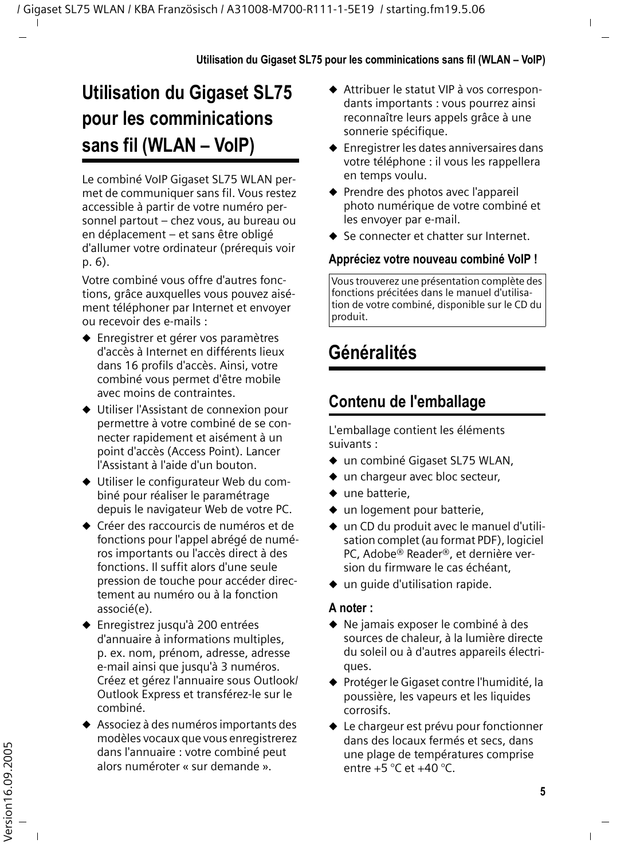## <span id="page-7-0"></span>**Utilisation du Gigaset SL75 pour les comminications sans fil (WLAN – VoIP)**

Le combiné VoIP Gigaset SL75 WLAN permet de communiquer sans fil. Vous restez accessible à partir de votre numéro personnel partout – chez vous, au bureau ou en déplacement – et sans être obligé d'allumer votre ordinateur (prérequis [voir](#page-8-0)  [p. 6](#page-8-0)).

Votre combiné vous offre d'autres fonctions, grâce auxquelles vous pouvez aisément téléphoner par Internet et envoyer ou recevoir des e-mails :

- ◆ Enregistrer et gérer vos paramètres d'accès à Internet en différents lieux dans 16 profils d'accès. Ainsi, votre combiné vous permet d'être mobile avec moins de contraintes.
- ◆ Utiliser l'Assistant de connexion pour permettre à votre combiné de se connecter rapidement et aisément à un point d'accès (Access Point). Lancer l'Assistant à l'aide d'un bouton.
- $\blacklozenge$  Utiliser le configurateur Web du combiné pour réaliser le paramétrage depuis le navigateur Web de votre PC.
- ◆ Créer des raccourcis de numéros et de fonctions pour l'appel abrégé de numéros importants ou l'accès direct à des fonctions. Il suffit alors d'une seule pression de touche pour accéder directement au numéro ou à la fonction associé(e).
- ◆ Enregistrez jusqu'à 200 entrées d'annuaire à informations multiples, p. ex. nom, prénom, adresse, adresse e-mail ainsi que jusqu'à 3 numéros. Créez et gérez l'annuaire sous Outlook/ Outlook Express et transférez-le sur le combiné.
- ◆ Associez à des numéros importants des modèles vocaux que vous enregistrerez dans l'annuaire : votre combiné peut alors numéroter « sur demande ».
- ◆ Attribuer le statut VIP à vos correspondants importants : vous pourrez ainsi reconnaître leurs appels grâce à une sonnerie spécifique.
- $\triangle$  Enregistrer les dates anniversaires dans votre téléphone : il vous les rappellera en temps voulu.
- ◆ Prendre des photos avec l'appareil photo numérique de votre combiné et les envoyer par e-mail.
- ◆ Se connecter et chatter sur Internet.

#### **Appréciez votre nouveau combiné VoIP !**

Vous trouverez une présentation complète des fonctions précitées dans le manuel d'utilisation de votre combiné, disponible sur le CD du produit.

## <span id="page-7-1"></span>**Généralités**

## <span id="page-7-2"></span>**Contenu de l'emballage**

L'emballage contient les éléments suivants :

- $\bullet$  un combiné Gigaset SL75 WLAN,
- $\bullet$  un chargeur avec bloc secteur,
- $\bullet$  une batterie,
- $\bullet$  un logement pour batterie.
- $\bullet$  un CD du produit avec le manuel d'utilisation complet (au format PDF), logiciel PC, Adobe® Reader®, et dernière version du firmware le cas échéant,
- $\bullet$  un quide d'utilisation rapide.

#### **A noter :**

- $\blacklozenge$  Ne jamais exposer le combiné à des sources de chaleur, à la lumière directe du soleil ou à d'autres appareils électriques.
- ◆ Protéger le Gigaset contre l'humidité, la poussière, les vapeurs et les liquides corrosifs.
- $\triangleq$  Le chargeur est prévu pour fonctionner dans des locaux fermés et secs, dans une plage de températures comprise entre  $+5$  °C et  $+40$  °C.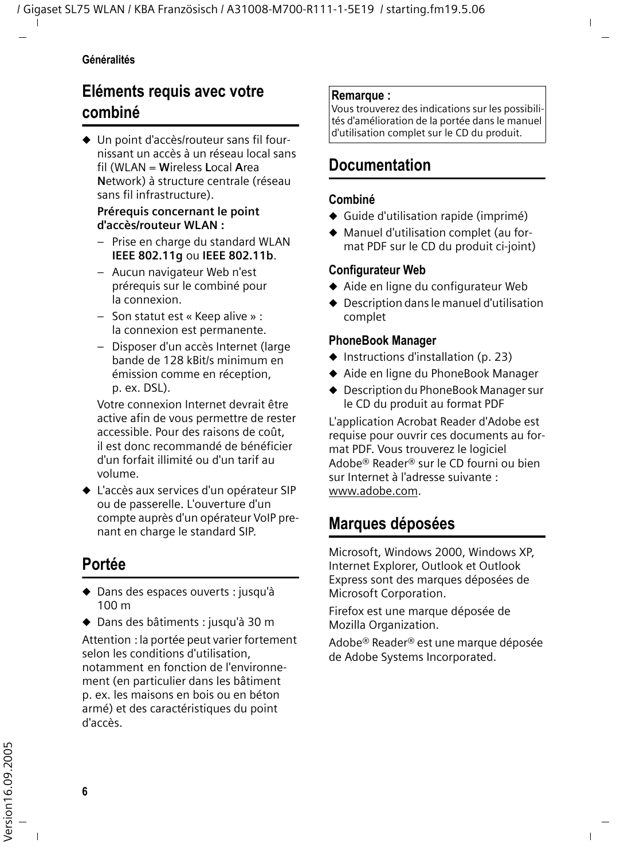#### **Généralités**

## <span id="page-8-0"></span>**Eléments requis avec votre combiné**

 $\blacklozenge$  Un point d'accès/routeur sans fil fournissant un accès à un réseau local sans fil (WLAN = **W**ireless **L**ocal **A**rea **N**etwork) à structure centrale (réseau sans fil infrastructure).

#### **Prérequis concernant le point d'accès/routeur WLAN :**

- Prise en charge du standard WLAN **IEEE 802.11g** ou **IEEE 802.11b**.
- Aucun navigateur Web n'est prérequis sur le combiné pour la connexion.
- Son statut est « Keep alive » : la connexion est permanente.
- Disposer d'un accès Internet (large bande de 128 kBit/s minimum en émission comme en réception, p. ex. DSL).

Votre connexion Internet devrait être active afin de vous permettre de rester accessible. Pour des raisons de coût, il est donc recommandé de bénéficier d'un forfait illimité ou d'un tarif au volume.

 $\triangle$  L'accès aux services d'un opérateur SIP ou de passerelle. L'ouverture d'un compte auprès d'un opérateur VoIP prenant en charge le standard SIP.

## <span id="page-8-1"></span>**Portée**

- ◆ Dans des espaces ouverts : jusqu'à 100 m
- ◆ Dans des bâtiments : jusqu'à 30 m

Attention : la portée peut varier fortement selon les conditions d'utilisation, notamment en fonction de l'environnement (en particulier dans les bâtiment p. ex. les maisons en bois ou en béton armé) et des caractéristiques du point d'accès.

#### **Remarque :**

Vous trouverez des indications sur les possibilités d'amélioration de la portée dans le manuel d'utilisation complet sur le CD du produit.

## <span id="page-8-2"></span>**Documentation**

#### **Combiné**

- $\triangleleft$  Guide d'utilisation rapide (imprimé)
- $\blacklozenge$  Manuel d'utilisation complet (au format PDF sur le CD du produit ci-joint)

#### **Configurateur Web**

- $\blacklozenge$  Aide en ligne du configurateur Web
- $\triangle$  Description dans le manuel d'utilisation complet

#### **PhoneBook Manager**

- $\blacklozenge$  Instructions d'installation [\(p. 23\)](#page-25-2)
- ◆ Aide en ligne du PhoneBook Manager
- ◆ Description du PhoneBook Manager sur le CD du produit au format PDF

L'application Acrobat Reader d'Adobe est requise pour ouvrir ces documents au format PDF. Vous trouverez le logiciel Adobe® Reader® sur le CD fourni ou bien sur Internet à l'adresse suivante : [www.adobe.com.](www.adobe.com)

## <span id="page-8-3"></span>**Marques déposées**

Microsoft, Windows 2000, Windows XP, Internet Explorer, Outlook et Outlook Express sont des marques déposées de Microsoft Corporation.

Firefox est une marque déposée de Mozilla Organization.

Adobe® Reader® est une marque déposée de Adobe Systems Incorporated.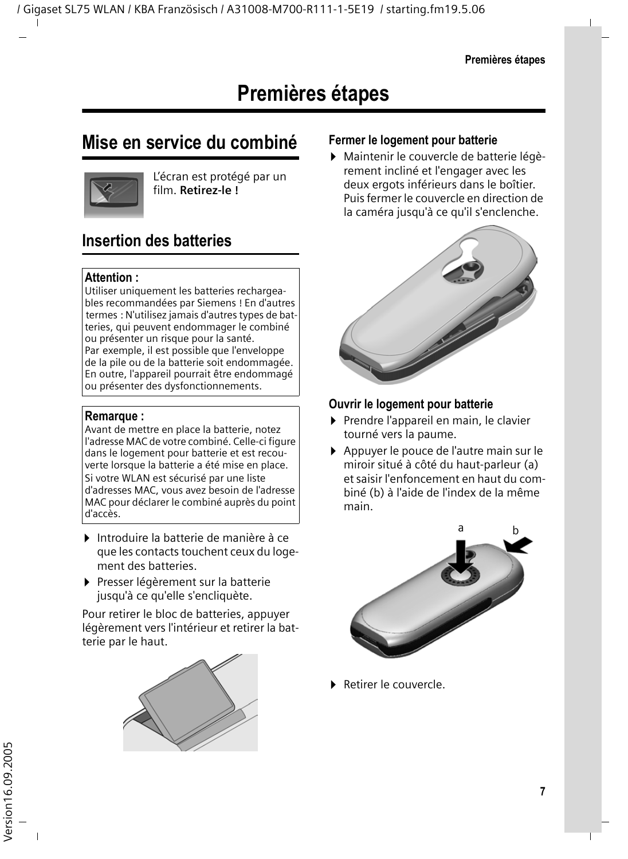## <span id="page-9-1"></span><span id="page-9-0"></span>**Mise en service du combiné**



L'écran est protégé par un film. **Retirez-le !**

## <span id="page-9-2"></span>**Insertion des batteries**

#### **Attention :**

Utiliser uniquement les batteries rechargeables recommandées par Siemens ! En d'autres termes : N'utilisez jamais d'autres types de batteries, qui peuvent endommager le combiné ou présenter un risque pour la santé. Par exemple, il est possible que l'enveloppe de la pile ou de la batterie soit endommagée. En outre, l'appareil pourrait être endommagé ou présenter des dysfonctionnements.

#### **Remarque :**

Avant de mettre en place la batterie, notez l'adresse MAC de votre combiné. Celle-ci figure dans le logement pour batterie et est recouverte lorsque la batterie a été mise en place. Si votre WLAN est sécurisé par une liste d'adresses MAC, vous avez besoin de l'adresse MAC pour déclarer le combiné auprès du point d'accès.

- ▶ Introduire la batterie de manière à ce que les contacts touchent ceux du logement des batteries.
- ▶ Presser légèrement sur la batterie jusqu'à ce qu'elle s'encliquète.

Pour retirer le bloc de batteries, appuyer légèrement vers l'intérieur et retirer la batterie par le haut.



#### **Fermer le logement pour batterie**

▶ Maintenir le couvercle de batterie légèrement incliné et l'engager avec les deux ergots inférieurs dans le boîtier. Puis fermer le couvercle en direction de la caméra jusqu'à ce qu'il s'enclenche.



#### **Ouvrir le logement pour batterie**

- ▶ Prendre l'appareil en main, le clavier tourné vers la paume.
- ▶ Appuyer le pouce de l'autre main sur le miroir situé à côté du haut-parleur (a) et saisir l'enfoncement en haut du combiné (b) à l'aide de l'index de la même main.



▶ Retirer le couvercle.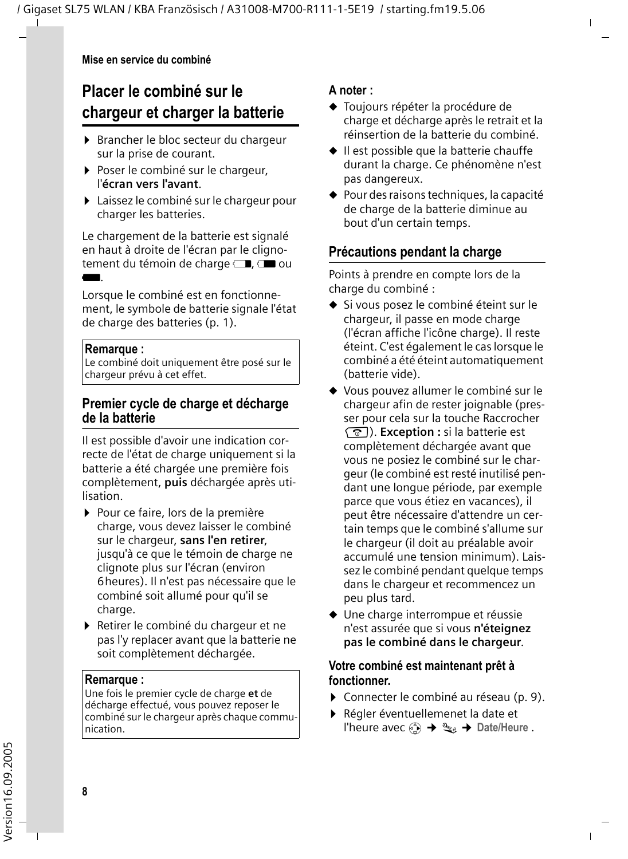## <span id="page-10-0"></span>**Placer le combiné sur le chargeur et charger la batterie**

- ▶ Brancher le bloc secteur du chargeur sur la prise de courant.
- ▶ Poser le combiné sur le chargeur, l'**écran vers l'avant**.
- ▶ Laissez le combiné sur le chargeur pour charger les batteries.

Le chargement de la batterie est signalé en haut à droite de l'écran par le clignotement du témoin de charge  $\Box$ ,  $\Box$  ou U.

Lorsque le combiné est en fonctionnement, le symbole de batterie signale l'état de charge des batteries [\(p. 1\).](#page-3-1)

#### **Remarque :**

Le combiné doit uniquement être posé sur le chargeur prévu à cet effet.

#### **Premier cycle de charge et décharge de la batterie**

Il est possible d'avoir une indication correcte de l'état de charge uniquement si la batterie a été chargée une première fois complètement, **puis** déchargée après utilisation.

- ▶ Pour ce faire, lors de la première charge, vous devez laisser le combiné sur le chargeur, **sans l'en retirer**, jusqu'à ce que le témoin de charge ne clignote plus sur l'écran (environ 6heures). Il n'est pas nécessaire que le combiné soit allumé pour qu'il se charge.
- ▶ Retirer le combiné du chargeur et ne pas l'y replacer avant que la batterie ne soit complètement déchargée.

#### **Remarque :**

Une fois le premier cycle de charge **et** de décharge effectué, vous pouvez reposer le combiné sur le chargeur après chaque communication.

#### **A noter :**

- ◆ Toujours répéter la procédure de charge et décharge après le retrait et la réinsertion de la batterie du combiné.
- $\bullet$  Il est possible que la batterie chauffe durant la charge. Ce phénomène n'est pas dangereux.
- $\triangle$  Pour des raisons techniques, la capacité de charge de la batterie diminue au bout d'un certain temps.

#### **Précautions pendant la charge**

Points à prendre en compte lors de la charge du combiné :

- ◆ Si vous posez le combiné éteint sur le chargeur, il passe en mode charge (l'écran affiche l'icône charge). Il reste éteint. C'est également le cas lorsque le combiné a été éteint automatiquement (batterie vide).
- ◆ Vous pouvez allumer le combiné sur le chargeur afin de rester joignable (presser pour cela sur la touche Raccrocher **a**). **Exception** : si la batterie est complètement déchargée avant que vous ne posiez le combiné sur le chargeur (le combiné est resté inutilisé pendant une longue période, par exemple parce que vous étiez en vacances), il peut être nécessaire d'attendre un certain temps que le combiné s'allume sur le chargeur (il doit au préalable avoir accumulé une tension minimum). Laissez le combiné pendant quelque temps dans le chargeur et recommencez un peu plus tard.
- $\blacklozenge$  Une charge interrompue et réussie n'est assurée que si vous **n'éteignez pas le combiné dans le chargeur**.

#### **Votre combiné est maintenant prêt à fonctionner.**

- ▶ Connecter le combiné au réseau [\(p. 9\).](#page-11-0)
- ▶ Régler éventuellemenet la date et l'heure avec  $\binom{2}{x}$   $\rightarrow$   $\mathbb{R}_e$   $\rightarrow$  Date/Heure .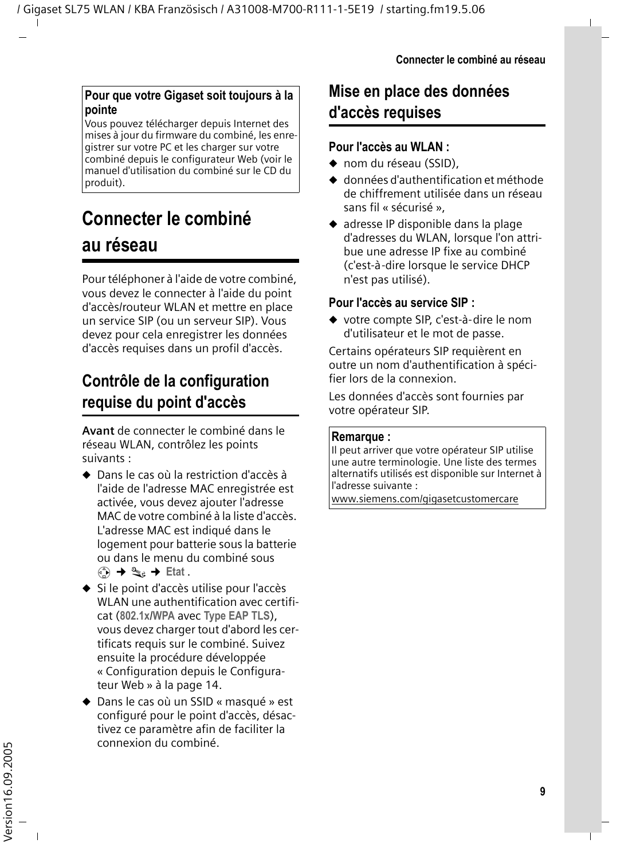#### **Pour que votre Gigaset soit toujours à la pointe**

Vous pouvez télécharger depuis Internet des mises à jour du firmware du combiné, les enregistrer sur votre PC et les charger sur votre combiné depuis le configurateur Web (voir le manuel d'utilisation du combiné sur le CD du produit).

## <span id="page-11-0"></span>**Connecter le combiné au réseau**

Pour téléphoner à l'aide de votre combiné, vous devez le connecter à l'aide du point d'accès/routeur WLAN et mettre en place un service SIP (ou un serveur SIP). Vous devez pour cela enregistrer les données d'accès requises dans un profil d'accès.

## <span id="page-11-1"></span>**Contrôle de la configuration requise du point d'accès**

**Avant** de connecter le combiné dans le réseau WLAN, contrôlez les points suivants :

- $\triangle$  Dans le cas où la restriction d'accès à l'aide de l'adresse MAC enregistrée est activée, vous devez ajouter l'adresse MAC de votre combiné à la liste d'accès. L'adresse MAC est indiqué dans le logement pour batterie sous la batterie ou dans le menu du combiné sous **«**3 → ��e → Etat.
- ◆ Si le point d'accès utilise pour l'accès WLAN une authentification avec certificat (**802.1x**/**WPA** avec **Type EAP TLS**), vous devez charger tout d'abord les certificats requis sur le combiné. Suivez ensuite la procédure développée [« Configuration depuis le Configura](#page-16-0)[teur Web » à la page 14.](#page-16-0)
- ◆ Dans le cas où un SSID « masqué » est configuré pour le point d'accès, désactivez ce paramètre afin de faciliter la connexion du combiné.

## <span id="page-11-2"></span>**Mise en place des données d'accès requises**

#### **Pour l'accès au WLAN :**

- $\bullet$  nom du réseau (SSID).
- ◆ données d'authentification et méthode de chiffrement utilisée dans un réseau sans fil « sécurisé »,
- $\bullet$  adresse IP disponible dans la plage d'adresses du WLAN, lorsque l'on attribue une adresse IP fixe au combiné (c'est-à-dire lorsque le service DHCP n'est pas utilisé).

#### **Pour l'accès au service SIP :**

◆ votre compte SIP, c'est-à-dire le nom d'utilisateur et le mot de passe.

Certains opérateurs SIP requièrent en outre un nom d'authentification à spécifier lors de la connexion.

Les données d'accès sont fournies par votre opérateur SIP.

#### **Remarque :**

Il peut arriver que votre opérateur SIP utilise une autre terminologie. Une liste des termes alternatifs utilisés est disponible sur Internet à l'adresse suivante :

[www.siemens.com/gigasetcustomercare](http://www.siemens.com/gigasetcustomercare)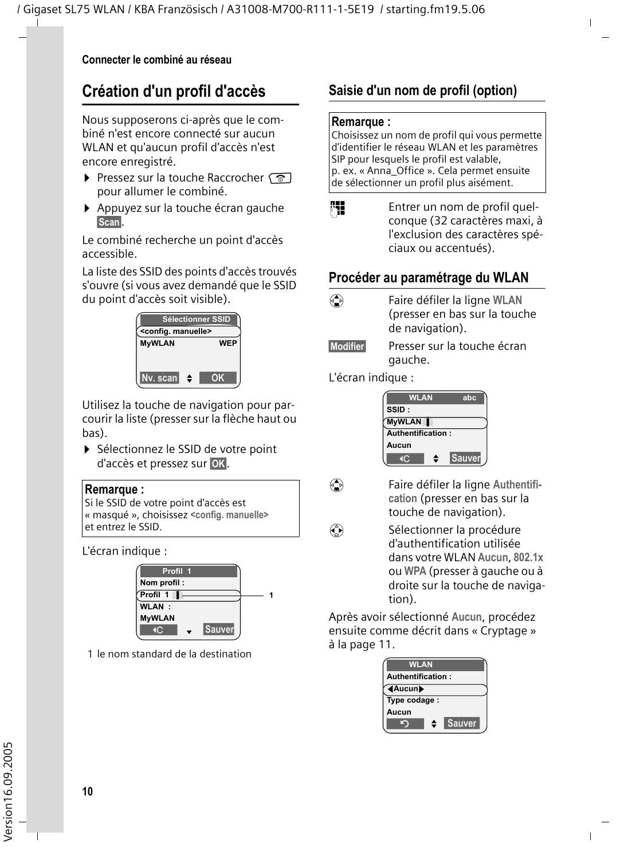## <span id="page-12-0"></span>**Création d'un profil d'accès**

Nous supposerons ci-après que le combiné n'est encore connecté sur aucun WLAN et qu'aucun profil d'accès n'est encore enregistré.

- ▶ Pressez sur la touche Raccrocher pour allumer le combiné.
- ▶ Appuyez sur la touche écran gauche **§Scan§**.

Le combiné recherche un point d'accès accessible.

La liste des SSID des points d'accès trouvés s'ouvre (si vous avez demandé que le SSID du point d'accès soit visible).



Utilisez la touche de navigation pour parcourir la liste (presser sur la flèche haut ou bas).

▶ Sélectionnez le SSID de votre point d'accès et pressez sur **§OK§**.



| Si le SSID de votre point d'accès est      |
|--------------------------------------------|
| « masqué », choisissez < config. manuelle> |
| et entrez le SSID.                         |

L'écran indique :



1 le nom standard de la destination

## **Saisie d'un nom de profil (option)**

#### **Remarque :**

Choisissez un nom de profil qui vous permette d'identifier le réseau WLAN et les paramètres SIP pour lesquels le profil est valable, p. ex. « Anna\_Office ». Cela permet ensuite de sélectionner un profil plus aisément.

**FHE** Entrer un nom de profil quelconque (32 caractères maxi, à l'exclusion des caractères spéciaux ou accentués).

#### **Procéder au paramétrage du WLAN**

- 
- q Faire défiler la ligne **WLAN**  (presser en bas sur la touche de navigation).
- **§Modifier§** Presser sur la touche écran gauche.

L'écran indique :





**Example 12** Faire défiler la ligne Authentifi**cation** (presser en bas sur la touche de navigation).

 $\binom{2}{k}$  Sélectionner la procédure d'authentification utilisée dans votre WLAN **Aucun**, **802.1x** ou **WPA** (presser à gauche ou à droite sur la touche de navigation).

Après avoir sélectionné **Aucun**, procédez ensuite comme décrit dans [« Cryptage »](#page-13-0)  [à la page 11](#page-13-0).

| <b>WLAN</b>       |   |               |  |  |
|-------------------|---|---------------|--|--|
| Authentification: |   |               |  |  |
| <b>4Aucun</b>     |   |               |  |  |
| Type codage :     |   |               |  |  |
| Aucun             |   |               |  |  |
|                   | ≜ | <b>Sauver</b> |  |  |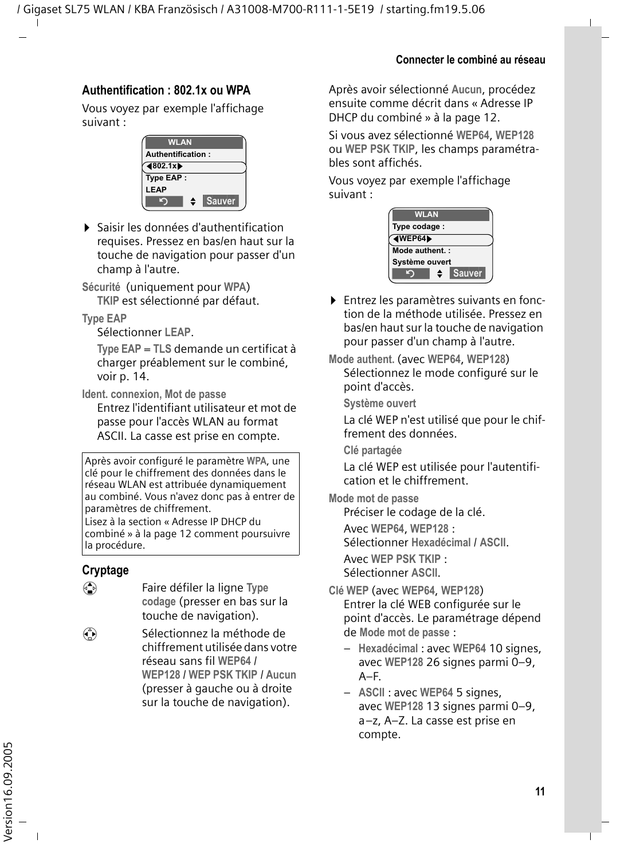#### **Authentification : 802.1x ou WPA**

Vous voyez par exemple l'affichage suivant :



¤ Saisir les données d'authentification requises. Pressez en bas/en haut sur la touche de navigation pour passer d'un champ à l'autre.

**Sécurité** (uniquement pour **WPA**) **TKIP** est sélectionné par défaut.

**Type EAP**

Sélectionner **LEAP**.

**Type EAP** = **TLS** demande un certificat à charger préablement sur le combiné, [voir p. 14.](#page-16-0)

**Ident. connexion, Mot de passe**

Entrez l'identifiant utilisateur et mot de passe pour l'accès WLAN au format ASCII. La casse est prise en compte.

Après avoir configuré le paramètre **WPA**, une clé pour le chiffrement des données dans le réseau WLAN est attribuée dynamiquement au combiné. Vous n'avez donc pas à entrer de paramètres de chiffrement. Lisez à la section [« Adresse IP DHCP du](#page-14-0) 

[combiné » à la page 12](#page-14-0) comment poursuivre la procédure.

#### <span id="page-13-0"></span>**Cryptage**

- q Faire défiler la ligne **Type codage** (presser en bas sur la touche de navigation).
- $\binom{2}{k}$  Sélectionnez la méthode de chiffrement utilisée dans votre réseau sans fil **WEP64** / **WEP128** / **WEP PSK TKIP** / **Aucun** (presser à gauche ou à droite sur la touche de navigation).

Après avoir sélectionné **Aucun**, procédez ensuite comme décrit dans [« Adresse IP](#page-14-0)  [DHCP du combiné » à la page 12.](#page-14-0)

Si vous avez sélectionné **WEP64**, **WEP128** ou **WEP PSK TKIP**, les champs paramétrables sont affichés.

Vous voyez par exemple l'affichage suivant :

| <b>WLAN</b>     |               |  |  |  |  |
|-----------------|---------------|--|--|--|--|
| Type codage:    |               |  |  |  |  |
| <b>AWEP64</b>   |               |  |  |  |  |
| Mode authent. : |               |  |  |  |  |
| Système ouvert  |               |  |  |  |  |
| ≜               | <b>Sauver</b> |  |  |  |  |

▶ Entrez les paramètres suivants en fonction de la méthode utilisée. Pressez en bas/en haut sur la touche de navigation pour passer d'un champ à l'autre.

**Mode authent.** (avec **WEP64**, **WEP128**) Sélectionnez le mode configuré sur le point d'accès.

**Système ouvert**

La clé WEP n'est utilisé que pour le chiffrement des données.

**Clé partagée**

La clé WEP est utilisée pour l'autentification et le chiffrement.

**Mode mot de passe**

Préciser le codage de la clé.

Avec **WEP64**, **WEP128** :

Sélectionner **Hexadécimal** / **ASCII**.

Avec **WEP PSK TKIP** :

Sélectionner **ASCII**.

- **Clé WEP** (avec **WEP64**, **WEP128**) Entrer la clé WEB configurée sur le point d'accès. Le paramétrage dépend de **Mode mot de passe** :
	- **Hexadécimal** : avec **WEP64** 10 signes, avec **WEP128** 26 signes parmi 0–9, A–F.
	- **ASCII** : avec **WEP64** 5 signes, avec **WEP128** 13 signes parmi 0–9, a–z, A–Z. La casse est prise en compte.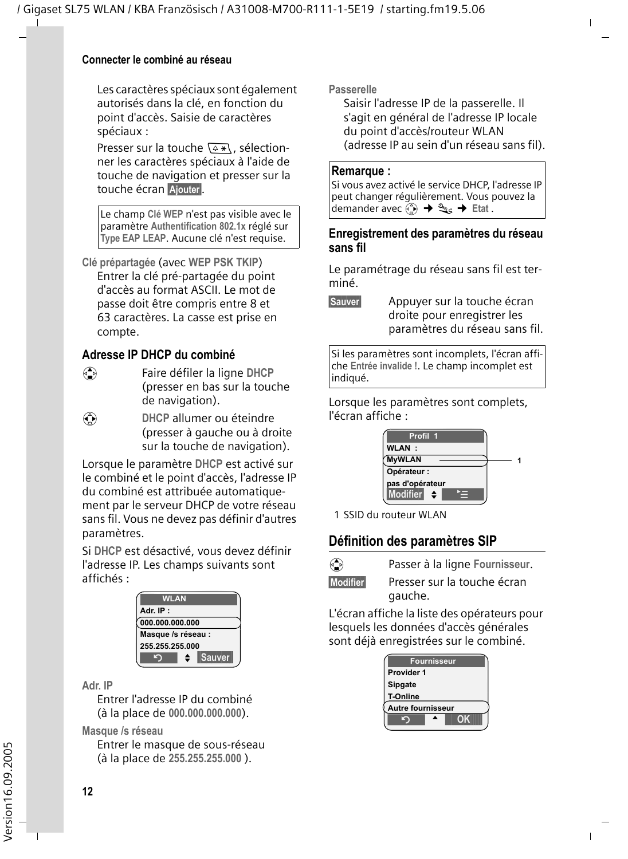#### **Connecter le combiné au réseau**

Les caractères spéciaux sont également autorisés dans la clé, en fonction du point d'accès. Saisie de caractères spéciaux :

Presser sur la touche  $\sqrt{2\pi}$ , sélectionner les caractères spéciaux à l'aide de touche de navigation et presser sur la touche écran Ajouter.

Le champ **Clé WEP** n'est pas visible avec le paramètre **Authentification 802.1x** réglé sur **Type EAP LEAP**. Aucune clé n'est requise.

**Clé prépartagée** (avec **WEP PSK TKIP**) Entrer la clé pré-partagée du point d'accès au format ASCII. Le mot de passe doit être compris entre 8 et 63 caractères. La casse est prise en compte.

#### <span id="page-14-0"></span>**Adresse IP DHCP du combiné**

- q Faire défiler la ligne **DHCP** (presser en bas sur la touche de navigation).
- *C* DHCP allumer ou éteindre (presser à gauche ou à droite sur la touche de navigation).

Lorsque le paramètre **DHCP** est activé sur le combiné et le point d'accès, l'adresse IP du combiné est attribuée automatiquement par le serveur DHCP de votre réseau sans fil. Vous ne devez pas définir d'autres paramètres.

Si **DHCP** est désactivé, vous devez définir l'adresse IP. Les champs suivants sont affichés :

| <b>WLAN</b>        |             |  |  |  |  |
|--------------------|-------------|--|--|--|--|
| Adr. IP:           |             |  |  |  |  |
| 000.000.000.000    |             |  |  |  |  |
| Masque /s réseau : |             |  |  |  |  |
| 255.255.255.000    |             |  |  |  |  |
|                    | Sauver<br>٠ |  |  |  |  |

#### **Adr. IP**

Entrer l'adresse IP du combiné (à la place de **000.000.000.000**).

**Masque /s réseau**

Entrer le masque de sous-réseau (à la place de **255.255.255.000** ).

**Passerelle**

Saisir l'adresse IP de la passerelle. Il s'agit en général de l'adresse IP locale du point d'accès/routeur WLAN (adresse IP au sein d'un réseau sans fil).

#### **Remarque :**

Si vous avez activé le service DHCP, l'adresse IP peut changer régulièrement. Vous pouvez la demander avec  $\overline{\binom{a}{b}} \rightarrow \overline{\binom{a}{b}}$  **F** Etat .

#### **Enregistrement des paramètres du réseau sans fil**

Le paramétrage du réseau sans fil est terminé.

**§Sauver§** Appuyer sur la touche écran droite pour enregistrer les paramètres du réseau sans fil.

Si les paramètres sont incomplets, l'écran affiche **Entrée invalide !**. Le champ incomplet est indiqué.

Lorsque les paramètres sont complets, l'écran affiche :



1 SSID du routeur WLAN

#### <span id="page-14-1"></span>**Définition des paramètres SIP**

q Passer à la ligne **Fournisseur**.

**§Modifier§** Presser sur la touche écran gauche.

L'écran affiche la liste des opérateurs pour lesquels les données d'accès générales sont déjà enregistrées sur le combiné.

| <b>Fournisseur</b> |  |    |  |  |
|--------------------|--|----|--|--|
| Provider 1         |  |    |  |  |
| Sipgate            |  |    |  |  |
| <b>T-Online</b>    |  |    |  |  |
| Autre fournisseur  |  |    |  |  |
|                    |  | OK |  |  |
|                    |  |    |  |  |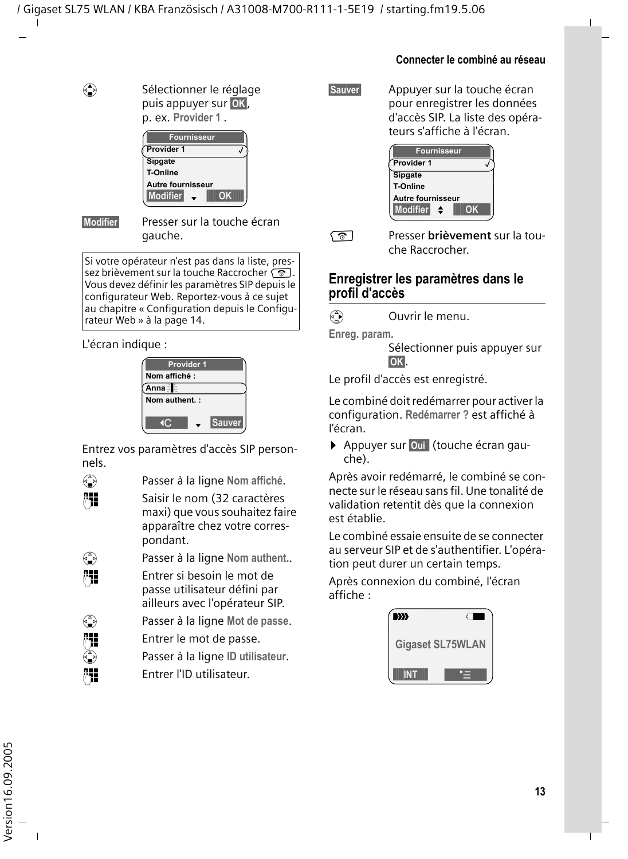$\left(\begin{matrix} \bullet \\ \bullet \end{matrix}\right)$  Sélectionner le réglage puis appuyer sur **§OK§**, p. ex. **Provider 1** .

| <b>Fournisseur</b> |    |
|--------------------|----|
| Provider 1         |    |
| Sipgate            |    |
| <b>T-Online</b>    |    |
| Autre fournisseur  |    |
| Modifier           | ΩK |

**§Modifier§** Presser sur la touche écran gauche.

Si votre opérateur n'est pas dans la liste, pressez brièvement sur la touche Raccrocher  $\sqrt{\hat{}}$ . Vous devez définir les paramètres SIP depuis le configurateur Web. Reportez-vous à ce sujet au chapitre [« Configuration depuis le Configu](#page-16-0)[rateur Web » à la page 14](#page-16-0).

L'écran indique :

|                |              | <b>Provider 1</b> |               |  |
|----------------|--------------|-------------------|---------------|--|
|                | Nom affiché: |                   |               |  |
| Anna∃          |              |                   |               |  |
| Nom authent. : |              |                   |               |  |
|                |              |                   |               |  |
|                |              |                   | <b>Sauver</b> |  |

Entrez vos paramètres d'accès SIP personnels.

s Passer à la ligne **Nom affiché**.

FH Saisir le nom (32 caractères maxi) que vous souhaitez faire apparaître chez votre correspondant.



s Passer à la ligne **Nom authent.**.

**###** Entrer si besoin le mot de passe utilisateur défini par ailleurs avec l'opérateur SIP.

s Passer à la ligne **Mot de passe**.

**\*11** Entrer le mot de passe.<br>۞ Passer à la ligne ID utilis

s Passer à la ligne **ID utilisateur**.

Film Entrer l'ID utilisateur.

**Sauver** Appuyer sur la touche écran pour enregistrer les données d'accès SIP. La liste des opérateurs s'affiche à l'écran.



a Presser **brièvement** sur la touche Raccrocher.

#### **Enregistrer les paramètres dans le profil d'accès**

 $\binom{3}{2}$  Ouvrir le menu.

**Enreg. param.** 

Sélectionner puis appuyer sur **§OK§**.

Le profil d'accès est enregistré.

Le combiné doit redémarrer pour activer la configuration. **Redémarrer ?** est affiché à l'écran.

¤ Appuyer sur **§Oui §** (touche écran gauche).

Après avoir redémarré, le combiné se connecte sur le réseau sans fil. Une tonalité de validation retentit dès que la connexion est établie.

Le combiné essaie ensuite de se connecter au serveur SIP et de s'authentifier. L'opération peut durer un certain temps.

Après connexion du combiné, l'écran affiche :

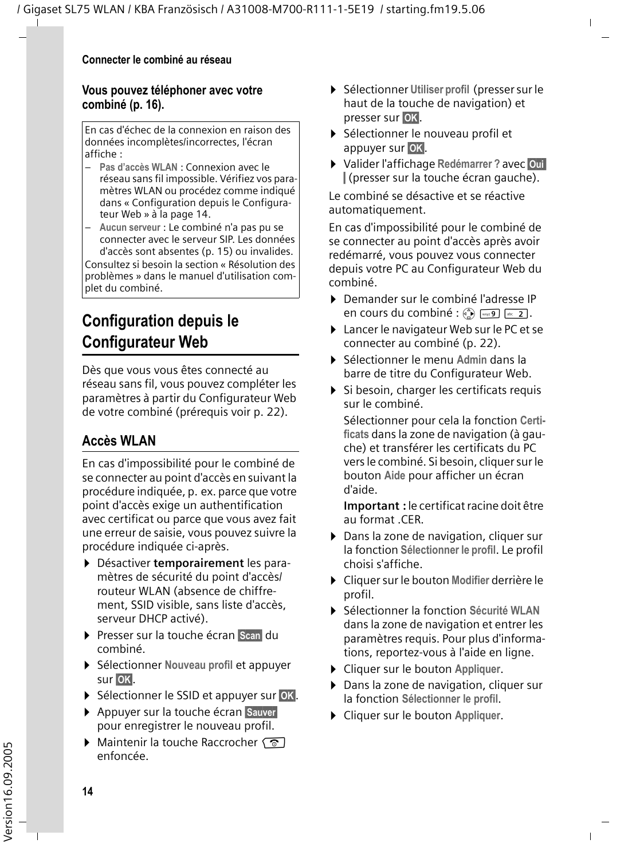#### **Vous pouvez téléphoner avec votre combiné [\(p. 16\)](#page-18-0).**

En cas d'échec de la connexion en raison des données incomplètes/incorrectes, l'écran affiche :

- **Pas d'accès WLAN** : Connexion avec le réseau sans fil impossible. Vérifiez vos paramètres WLAN ou procédez comme indiqué dans [« Configuration depuis le Configura](#page-16-0)[teur Web » à la page 14](#page-16-0).
- **Aucun serveur** : Le combiné n'a pas pu se connecter avec le serveur SIP. Les données d'accès sont absentes [\(p. 15\)](#page-17-0) ou invalides.

Consultez si besoin la section « Résolution des problèmes » dans le manuel d'utilisation complet du combiné.

## <span id="page-16-0"></span>**Configuration depuis le Configurateur Web**

Dès que vous vous êtes connecté au réseau sans fil, vous pouvez compléter les paramètres à partir du Configurateur Web de votre combiné (prérequis [voir p. 22](#page-24-2)).

## <span id="page-16-1"></span>**Accès WLAN**

En cas d'impossibilité pour le combiné de se connecter au point d'accès en suivant la procédure indiquée, p. ex. parce que votre point d'accès exige un authentification avec certificat ou parce que vous avez fait une erreur de saisie, vous pouvez suivre la procédure indiquée ci-après.

- ¤ Désactiver **temporairement** les paramètres de sécurité du point d'accès/ routeur WLAN (absence de chiffrement, SSID visible, sans liste d'accès, serveur DHCP activé).
- ▶ Presser sur la touche écran Scan du combiné.
- ¤ Sélectionner **Nouveau profil** et appuyer sur **OK**.
- **▶ Sélectionner le SSID et appuyer sur OK.**
- ▶ Appuyer sur la touche écran **Sauver** pour enregistrer le nouveau profil.
- $\triangleright$  Maintenir la touche Raccrocher  $\sqrt{\circ}$ enfoncée.
- ¤ Sélectionner **Utiliser profil** (presser sur le haut de la touche de navigation) et presser sur **§OK§**.
- ¤ Sélectionner le nouveau profil et appuyer sur **§OK§**.
- ¤ Valider l'affichage **Redémarrer ?** avec **§Oui §** (presser sur la touche écran gauche).

Le combiné se désactive et se réactive automatiquement.

En cas d'impossibilité pour le combiné de se connecter au point d'accès après avoir redémarré, vous pouvez vous connecter depuis votre PC au Configurateur Web du combiné.

- ¤ Demander sur le combiné l'adresse IP en cours du combiné :  $\binom{2}{2}$   $\sqrt{2}$   $\sqrt{2}$ .
- ▶ Lancer le navigateur Web sur le PC et se connecter au combiné [\(p. 22\)](#page-24-3).
- ¤ Sélectionner le menu **Admin** dans la barre de titre du Configurateur Web.
- $\triangleright$  Si besoin, charger les certificats requis sur le combiné.

Sélectionner pour cela la fonction **Certificats** dans la zone de navigation (à gauche) et transférer les certificats du PC vers le combiné. Si besoin, cliquer sur le bouton **Aide** pour afficher un écran d'aide.

**Important :** le certificat racine doit être au format .CER.

- ▶ Dans la zone de navigation, cliquer sur la fonction **Sélectionner le profil**. Le profil choisi s'affiche.
- ¤ Cliquer sur le bouton **Modifier** derrière le profil.
- ¤ Sélectionner la fonction **Sécurité WLAN**  dans la zone de navigation et entrer les paramètres requis. Pour plus d'informations, reportez-vous à l'aide en ligne.
- ¤ Cliquer sur le bouton **Appliquer**.
- ▶ Dans la zone de navigation, cliquer sur la fonction **Sélectionner le profil**.
- ¤ Cliquer sur le bouton **Appliquer**.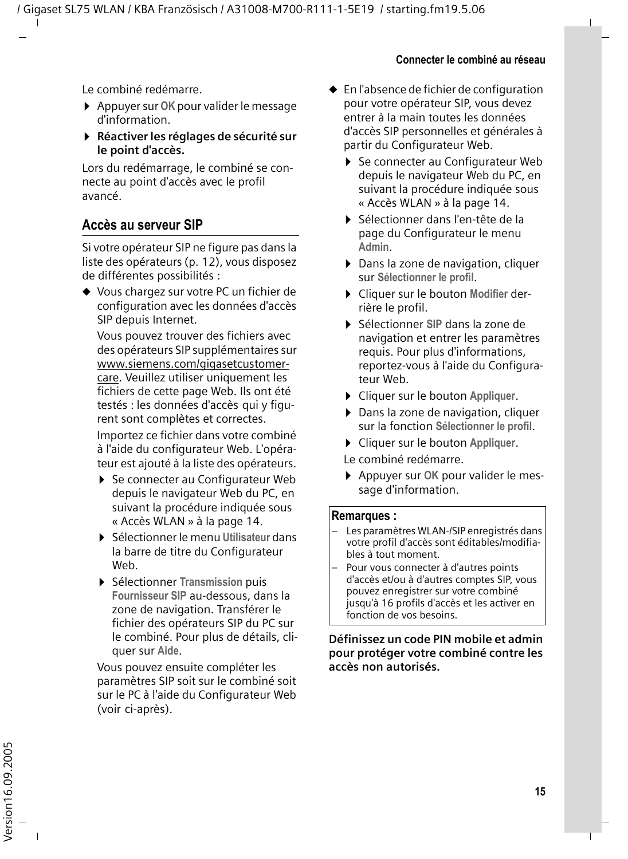Le combiné redémarre.

- ¤ Appuyer sur **OK** pour valider le message d'information.
- ¤ **Réactiver les réglages de sécurité sur le point d'accès.**

Lors du redémarrage, le combiné se connecte au point d'accès avec le profil avancé.

#### <span id="page-17-0"></span>**Accès au serveur SIP**

Si votre opérateur SIP ne figure pas dans la liste des opérateurs [\(p. 12\)](#page-14-1), vous disposez de différentes possibilités :

◆ Vous chargez sur votre PC un fichier de configuration avec les données d'accès SIP depuis Internet.

Vous pouvez trouver des fichiers avec des opérateurs SIP supplémentaires sur [www.siemens.com/gigasetcustomer](http://www.siemens.com/gigasetcustomercare)[care.](http://www.siemens.com/gigasetcustomercare) Veuillez utiliser uniquement les fichiers de cette page Web. Ils ont été testés : les données d'accès qui y figurent sont complètes et correctes.

Importez ce fichier dans votre combiné à l'aide du configurateur Web. L'opérateur est ajouté à la liste des opérateurs.

- ▶ Se connecter au Configurateur Web depuis le navigateur Web du PC, en suivant la procédure indiquée sous [« Accès WLAN » à la page 14.](#page-16-1)
- ▶ Sélectionner le menu Utilisateur dans la barre de titre du Configurateur Web.
- ¤ Sélectionner **Transmission** puis **Fournisseur SIP** au-dessous, dans la zone de navigation. Transférer le fichier des opérateurs SIP du PC sur le combiné. Pour plus de détails, cliquer sur **Aide**.

Vous pouvez ensuite compléter les paramètres SIP soit sur le combiné soit sur le PC à l'aide du Configurateur Web (voir ci-après).

- $\bullet$  En l'absence de fichier de configuration pour votre opérateur SIP, vous devez entrer à la main toutes les données d'accès SIP personnelles et générales à partir du Configurateur Web.
	- ▶ Se connecter au Configurateur Web depuis le navigateur Web du PC, en suivant la procédure indiquée sous [« Accès WLAN » à la page 14.](#page-16-1)
	- ¤ Sélectionner dans l'en-tête de la page du Configurateur le menu **Admin**.
	- ▶ Dans la zone de navigation, cliquer sur **Sélectionner le profil**.
	- ¤ Cliquer sur le bouton **Modifier** derrière le profil.
	- ¤ Sélectionner **SIP** dans la zone de navigation et entrer les paramètres requis. Pour plus d'informations, reportez-vous à l'aide du Configurateur Web.
	- ¤ Cliquer sur le bouton **Appliquer**.
	- ▶ Dans la zone de navigation, cliquer sur la fonction **Sélectionner le profil**.
	- ¤ Cliquer sur le bouton **Appliquer**.
	- Le combiné redémarre.
	- ¤ Appuyer sur **OK** pour valider le message d'information.

#### **Remarques :**

- Les paramètres WLAN-/SIP enregistrés dans votre profil d'accès sont éditables/modifiables à tout moment.
- Pour vous connecter à d'autres points d'accès et/ou à d'autres comptes SIP, vous pouvez enregistrer sur votre combiné jusqu'à 16 profils d'accès et les activer en fonction de vos besoins.

#### **Définissez un code PIN mobile et admin pour protéger votre combiné contre les accès non autorisés.**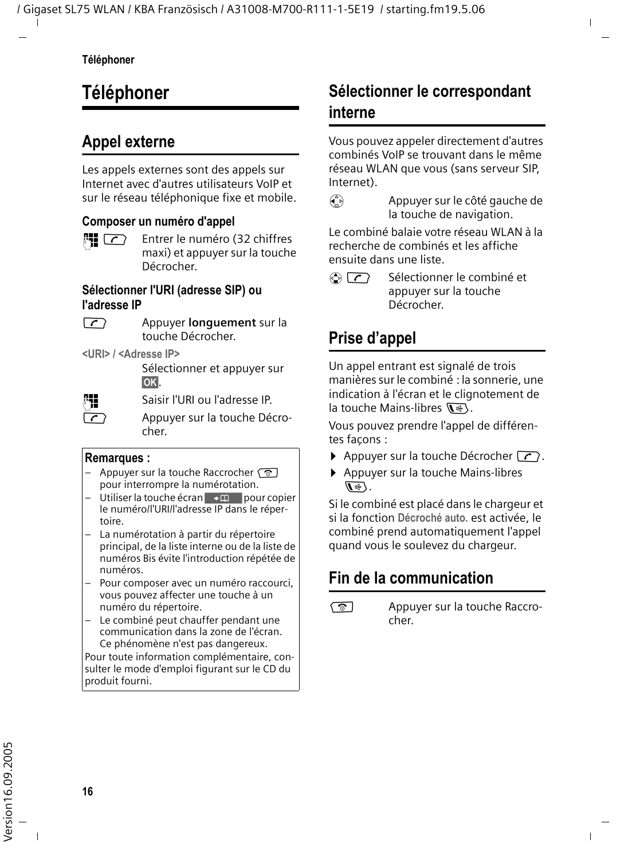## <span id="page-18-0"></span>**Téléphoner**

## <span id="page-18-1"></span>**Appel externe**

Les appels externes sont des appels sur Internet avec d'autres utilisateurs VoIP et sur le réseau téléphonique fixe et mobile.

#### **Composer un numéro d'appel**

 $\mathbb{F}$   $\Gamma$  Entrer le numéro (32 chiffres maxi) et appuyer sur la touche Décrocher.

#### **Sélectionner l'URI (adresse SIP) ou l'adresse IP**

c Appuyer **longuement** sur la touche Décrocher.

**<URI> / <Adresse IP>**

Sélectionner et appuyer sur **§OK§**.

**FILLETTE:** Saisir l'URI ou l'adresse IP.

 $\sqrt{\zeta}$  Appuyer sur la touche Décrocher.

#### **Remarques :**

- Appuyer sur la touche Raccrocher  $\circledcirc$ pour interrompre la numérotation.
- Utiliser la touche écran  $\rightarrow \pi$  pour copier le numéro/l'URI/l'adresse IP dans le répertoire.
- La numérotation à partir du répertoire principal, de la liste interne ou de la liste de numéros Bis évite l'introduction répétée de numéros.
- Pour composer avec un numéro raccourci, vous pouvez affecter une touche à un numéro du répertoire.
- Le combiné peut chauffer pendant une communication dans la zone de l'écran. Ce phénomène n'est pas dangereux.

Pour toute information complémentaire, consulter le mode d'emploi figurant sur le CD du produit fourni.

## <span id="page-18-2"></span>**Sélectionner le correspondant interne**

Vous pouvez appeler directement d'autres combinés VoIP se trouvant dans le même réseau WLAN que vous (sans serveur SIP, Internet).

 $\begin{pmatrix} 1 \\ 1 \end{pmatrix}$  Appuyer sur le côté gauche de la touche de navigation.

Le combiné balaie votre réseau WLAN à la recherche de combinés et les affiche ensuite dans une liste.

 $\langle \hat{\bullet} \rangle$   $\langle \hat{\bullet} \rangle$  Sélectionner le combiné et appuyer sur la touche Décrocher.

## <span id="page-18-3"></span>**Prise d'appel**

Un appel entrant est signalé de trois manières sur le combiné : la sonnerie, une indication à l'écran et le clignotement de la touche Mains-libres  $\overline{\mathbb{Q}}$ .

Vous pouvez prendre l'appel de différentes facons :

- $\triangleright$  Appuyer sur la touche Décrocher  $\lceil \cdot \rceil$ .
- ▶ Appuyer sur la touche Mains-libres  $\mathbb{R}$ .

Si le combiné est placé dans le chargeur et si la fonction **Décroché auto.** est activée, le combiné prend automatiquement l'appel quand vous le soulevez du chargeur.

## <span id="page-18-4"></span>**Fin de la communication**

s Appuyer sur la touche Raccrocher.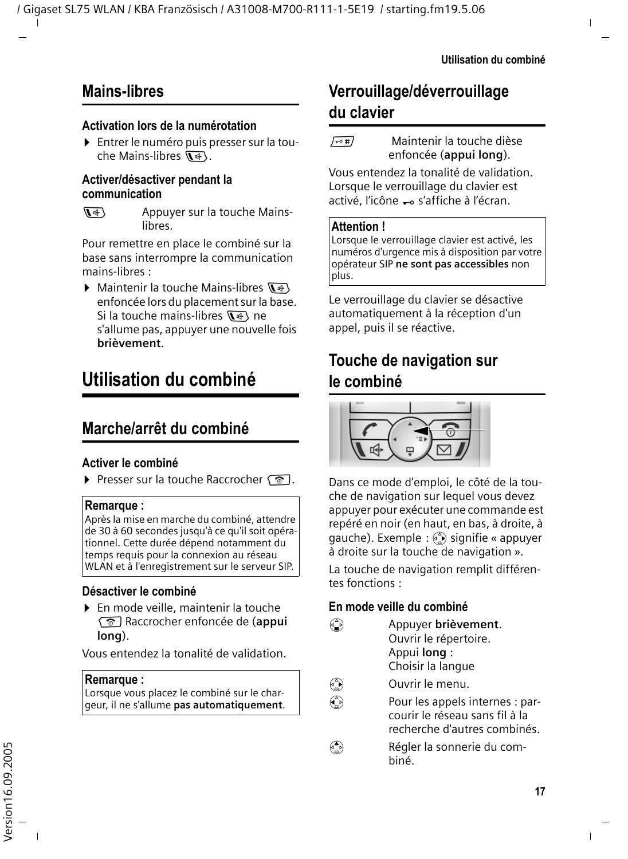## <span id="page-19-1"></span>**Mains-libres**

#### **Activation lors de la numérotation**

▶ Entrer le numéro puis presser sur la touche Mains-libres  $\overline{\mathbb{Q}}$ .

#### **Activer/désactiver pendant la communication**

 $\sqrt{4}$  Appuyer sur la touche Mainslibres.

Pour remettre en place le combiné sur la base sans interrompre la communication mains-libres :

 $\blacktriangleright$  Maintenir la touche Mains-libres  $\overline{\mathbb{R}^4}$ enfoncée lors du placement sur la base. Si la touche mains-libres  $\overline{\mathbf{w}}$  ne s'allume pas, appuyer une nouvelle fois **brièvement**.

## <span id="page-19-2"></span>**Utilisation du combiné**

## <span id="page-19-3"></span>**Marche/arrêt du combiné**

#### **Activer le combiné**

Presser sur la touche Raccrocher  $\sqrt{\infty}$ .

#### **Remarque :**

Après la mise en marche du combiné, attendre de 30 à 60 secondes jusqu'à ce qu'il soit opérationnel. Cette durée dépend notamment du temps requis pour la connexion au réseau WLAN et à l'enregistrement sur le serveur SIP.

#### **Désactiver le combiné**

▶ En mode veille, maintenir la touche a Raccrocher enfoncée de (**appui long**).

Vous entendez la tonalité de validation.

#### **Remarque :**

Lorsque vous placez le combiné sur le chargeur, il ne s'allume **pas automatiquement**.

## <span id="page-19-4"></span>**Verrouillage/déverrouillage du clavier**

 $\sqrt{10+1}$  Maintenir la touche dièse enfoncée (**appui long**).

Vous entendez la tonalité de validation. Lorsque le verrouillage du clavier est activé. l'icône - s'affiche à l'écran.

#### **Attention !**

Lorsque le verrouillage clavier est activé, les numéros d'urgence mis à disposition par votre opérateur SIP **ne sont pas accessibles** non plus.

Le verrouillage du clavier se désactive automatiquement à la réception d'un appel, puis il se réactive.

## <span id="page-19-5"></span><span id="page-19-0"></span>**Touche de navigation sur le combiné**



Dans ce mode d'emploi, le côté de la touche de navigation sur lequel vous devez appuyer pour exécuter une commande est repéré en noir (en haut, en bas, à droite, à gauche). Exemple :  $\binom{2}{k}$  signifie « appuyer à droite sur la touche de navigation ».

La touche de navigation remplit différentes fonctions :

#### **En mode veille du combiné**

- s Appuyer **brièvement**. Ouvrir le répertoire. Appui **long** : Choisir la langue
- $\begin{pmatrix} 1 \\ 0 \end{pmatrix}$  Ouvrir le menu.
- $\binom{2}{x}$  Pour les appels internes : parcourir le réseau sans fil à la recherche d'autres combinés.
- $\binom{4}{n}$  Régler la sonnerie du combiné.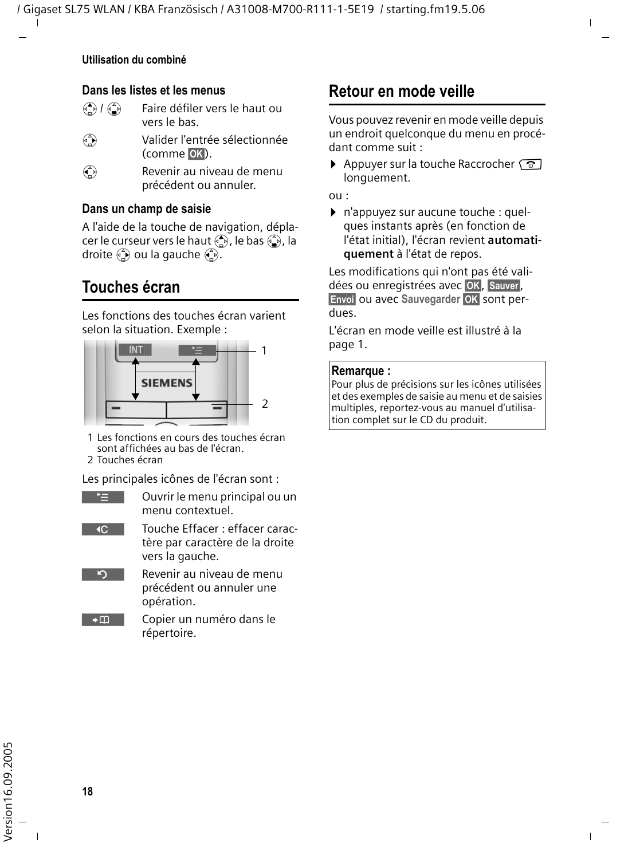#### **Utilisation du combiné**

#### **Dans les listes et les menus**

| $\bigodot$ / $\bigodot$ | Faire défiler vers le haut ou |
|-------------------------|-------------------------------|
|                         | vers le bas.                  |

- $\binom{a}{r}$  Valider l'entrée sélectionnée (comme **§OK§**).
- $\binom{2}{1}$  Revenir au niveau de menu précédent ou annuler.

#### **Dans un champ de saisie**

A l'aide de la touche de navigation, déplacer le curseur vers le haut  $\left(\frac{a}{n}\right)$ , le bas  $\left(\frac{a}{n}\right)$ , la droite  $\left(\frac{a}{n}\right)$  ou la gauche  $\left(\frac{a}{n}\right)$ .

## <span id="page-20-1"></span><span id="page-20-0"></span>**Touches écran**

Les fonctions des touches écran varient selon la situation. Exemple :



1 Les fonctions en cours des touches écran sont affichées au bas de l'écran.

2 Touches écran

Les principales icônes de l'écran sont :

- ¨ Ouvrir le menu principal ou un menu contextuel.
- $\overline{AC}$ Touche Effacer : effacer caractère par caractère de la droite vers la gauche.
- $\overline{5}$ Revenir au niveau de menu précédent ou annuler une opération.
- $\rightarrow$ m Copier un numéro dans le répertoire.

## <span id="page-20-2"></span>**Retour en mode veille**

Vous pouvez revenir en mode veille depuis un endroit quelconque du menu en procédant comme suit :

Appuyer sur la touche Raccrocher  $\sqrt{2}$ longuement.

ou :

▶ n'appuyez sur aucune touche : quelques instants après (en fonction de l'état initial), l'écran revient **automatiquement** à l'état de repos.

Les modifications qui n'ont pas été validées ou enregistrées avec **§OK§**, **§Sauver§**, **§Envoi§** ou avec **Sauvegarder §OK§** sont perdues.

L'écran en mode veille est illustré à la

#### **Remarque :**

Pour plus de précisions sur les icônes utilisées et des exemples de saisie au menu et de saisies multiples, reportez-vous au manuel d'utilisation complet sur le CD du produit.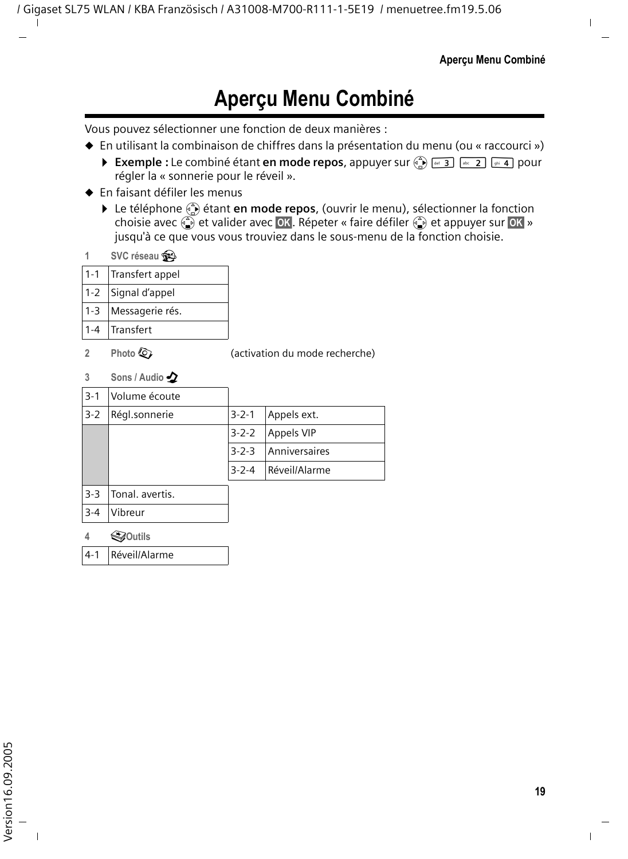## **Aperçu Menu Combiné**

<span id="page-21-0"></span>Vous pouvez sélectionner une fonction de deux manières :

- ◆ En utilisant la combinaison de chiffres dans la présentation du menu (ou « raccourci »)
	- **Exemple :** Le combiné étant **en mode repos**, appuyer sur  $\left(\frac{\mathbf{A}}{\mathbf{A}}\right)$   $\left[\frac{\mathbf{A}}{\mathbf{A}}\right]$   $\left[\frac{\mathbf{A}}{\mathbf{A}}\right]$   $\left[\frac{\mathbf{A}}{\mathbf{A}}\right]$  and  $\left[\frac{\mathbf{A}}{\mathbf{A}}\right]$  and  $\left[\frac{\mathbf{A}}{\mathbf{A}}\right]$  and  $\left[\frac{\mathbf{A}}{\mathbf{A}}\right]$ régler la « sonnerie pour le réveil ».
- $\triangle$  En faisant défiler les menus
	- ▶ Le téléphone ۞ étant en mode repos, (ouvrir le menu), sélectionner la fonction choisie avec  $\left(\frac{\delta}{\delta}\right)$  et valider avec **OK**. Répeter « faire défiler  $\left(\frac{\delta}{\delta}\right)$  et appuyer sur **OK** » jusqu'à ce que vous vous trouviez dans le sous-menu de la fonction choisie.
- **1 SVC réseau** æ

|         | 1-1 Transfert appel |
|---------|---------------------|
|         | 1-2 Signal d'appel  |
| $1 - 3$ | Messagerie rés.     |
|         | 1-4 Transfert       |

**2 Photo**  $\overline{Q}$  *Photo*  $\overline{Q}$  *C (activation du mode recherche)* 

**3 Sons / Audio**  $\Delta$ 

| $3 - 1$ | Volume écoute   |             |                   |
|---------|-----------------|-------------|-------------------|
| $3 - 2$ | Régl.sonnerie   | $3 - 2 - 1$ | Appels ext.       |
|         |                 | $3 - 2 - 2$ | <b>Appels VIP</b> |
|         |                 | $3 - 2 - 3$ | Anniversaires     |
|         |                 | $3 - 2 - 4$ | Réveil/Alarme     |
| $3-3$   | Tonal. avertis. |             |                   |

- 3-4 Vibreur **4** í**Outils**
- 4-1 Réveil/Alarme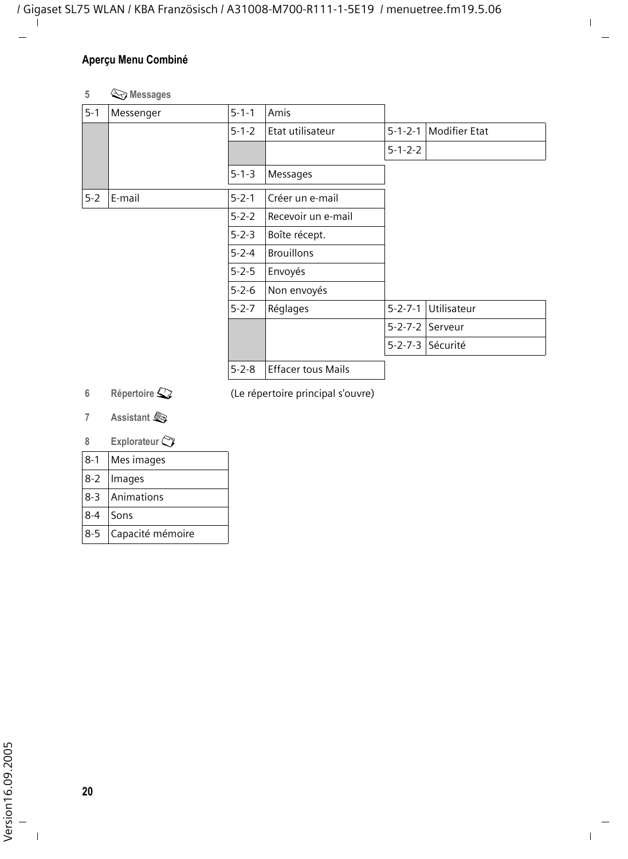#### **Aperçu Menu Combiné**

#### **5** î **Messages**

| $5 - 1$ | Messenger | $5 - 1 - 1$ | Amis                      |                 |                      |
|---------|-----------|-------------|---------------------------|-----------------|----------------------|
|         |           | $5 - 1 - 2$ | Etat utilisateur          | $5 - 1 - 2 - 1$ | <b>Modifier Etat</b> |
|         |           |             |                           | $5 - 1 - 2 - 2$ |                      |
|         |           | $5 - 1 - 3$ | Messages                  |                 |                      |
| $5-2$   | E-mail    | $5 - 2 - 1$ | Créer un e-mail           |                 |                      |
|         |           | $5 - 2 - 2$ | Recevoir un e-mail        |                 |                      |
|         |           | $5 - 2 - 3$ | Boîte récept.             |                 |                      |
|         |           | $5 - 2 - 4$ | <b>Brouillons</b>         |                 |                      |
|         |           | $5 - 2 - 5$ | Envoyés                   |                 |                      |
|         |           | $5 - 2 - 6$ | Non envoyés               |                 |                      |
|         |           | $5 - 2 - 7$ | Réglages                  | $5 - 2 - 7 - 1$ | Utilisateur          |
|         |           |             |                           | $5 - 2 - 7 - 2$ | Serveur              |
|         |           |             |                           | $5 - 2 - 7 - 3$ | Sécurité             |
|         |           | $5 - 2 - 8$ | <b>Effacer tous Mails</b> |                 |                      |
|         |           |             |                           |                 |                      |

**6** Répertoire  $\mathbb{Q}$  (Le répertoire principal s'ouvre)

**7 Assistant** å

#### **8 Explorateur**

| $8-1$    | Mes images       |
|----------|------------------|
|          | 8-2   Images     |
|          | 8-3 Animations   |
| 8-4 Sons |                  |
| $8 - 5$  | Capacité mémoire |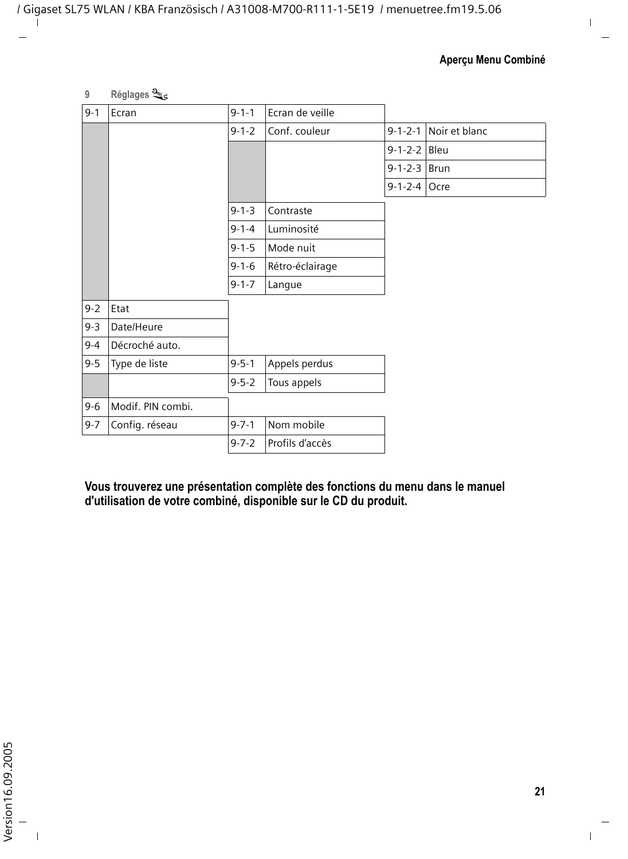**9 Réglages** Ð

| $9 - 1$ | Ecran             | $9 - 1 - 1$ | Ecran de veille |                 |                       |
|---------|-------------------|-------------|-----------------|-----------------|-----------------------|
|         |                   | $9 - 1 - 2$ | Conf. couleur   |                 | 9-1-2-1 Noir et blanc |
|         |                   |             |                 | $9 - 1 - 2 - 2$ | Bleu                  |
|         |                   |             |                 | 9-1-2-3 Brun    |                       |
|         |                   |             |                 | 9-1-2-4 Ocre    |                       |
|         |                   | $9 - 1 - 3$ | Contraste       |                 |                       |
|         |                   | $9 - 1 - 4$ | Luminosité      |                 |                       |
|         |                   | $9 - 1 - 5$ | Mode nuit       |                 |                       |
|         |                   | $9 - 1 - 6$ | Rétro-éclairage |                 |                       |
|         |                   | $9 - 1 - 7$ | Langue          |                 |                       |
| $9 - 2$ | Etat              |             |                 |                 |                       |
| $9 - 3$ | Date/Heure        |             |                 |                 |                       |
| $9 - 4$ | Décroché auto.    |             |                 |                 |                       |
| $9 - 5$ | Type de liste     | $9 - 5 - 1$ | Appels perdus   |                 |                       |
|         |                   | $9 - 5 - 2$ | Tous appels     |                 |                       |
| $9 - 6$ | Modif. PIN combi. |             |                 |                 |                       |
| $9 - 7$ | Config. réseau    | $9 - 7 - 1$ | Nom mobile      |                 |                       |
|         |                   | $9 - 7 - 2$ | Profils d'accès |                 |                       |

**Vous trouverez une présentation complète des fonctions du menu dans le manuel d'utilisation de votre combiné, disponible sur le CD du produit.**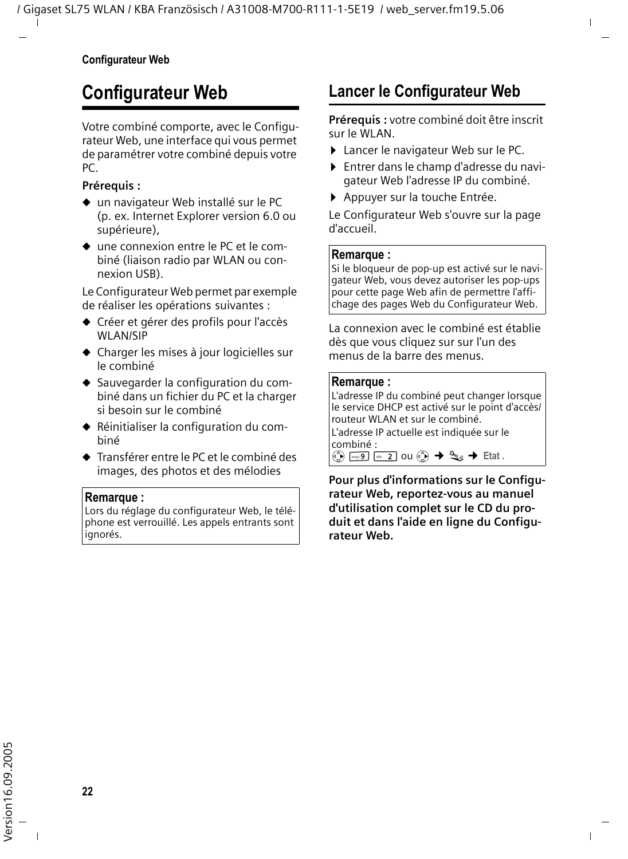## <span id="page-24-2"></span><span id="page-24-0"></span>**Configurateur Web**

Votre combiné comporte, avec le Configurateur Web, une interface qui vous permet de paramétrer votre combiné depuis votre PC.

#### **Prérequis :**

- $\bullet$  un navigateur Web installé sur le PC (p. ex. Internet Explorer version 6.0 ou supérieure),
- $\bullet$  une connexion entre le PC et le combiné (liaison radio par WLAN ou connexion USB).

Le Configurateur Web permet par exemple de réaliser les opérations suivantes :

- ◆ Créer et gérer des profils pour l'accès WLAN/SIP
- $\triangleleft$  Charger les mises à jour logicielles sur le combiné
- ◆ Sauvegarder la configuration du combiné dans un fichier du PC et la charger si besoin sur le combiné
- ◆ Réinitialiser la configuration du combiné
- ◆ Transférer entre le PC et le combiné des images, des photos et des mélodies

#### **Remarque :**

Lors du réglage du configurateur Web, le téléphone est verrouillé. Les appels entrants sont ignorés.

## <span id="page-24-3"></span><span id="page-24-1"></span>**Lancer le Configurateur Web**

**Prérequis :** votre combiné doit être inscrit sur le WLAN.

- ▶ Lancer le navigateur Web sur le PC.
- ¤ Entrer dans le champ d'adresse du navigateur Web l'adresse IP du combiné.
- ▶ Appuyer sur la touche Entrée.

Le Configurateur Web s'ouvre sur la page d'accueil.

#### **Remarque :**

Si le bloqueur de pop-up est activé sur le navigateur Web, vous devez autoriser les pop-ups pour cette page Web afin de permettre l'affichage des pages Web du Configurateur Web.

La connexion avec le combiné est établie dès que vous cliquez sur sur l'un des menus de la barre des menus.

#### **Remarque :**

L'adresse IP du combiné peut changer lorsque le service DHCP est activé sur le point d'accès/ routeur WLAN et sur le combiné. L'adresse IP actuelle est indiquée sur le combiné :

 $\begin{pmatrix} 0 \ 0 \end{pmatrix}$   $\begin{pmatrix} w_{\text{sys}} \ 9 \end{pmatrix}$  as: 2 ou  $\begin{pmatrix} 0 \ 0 \end{pmatrix} \rightarrow \begin{pmatrix} 3 \ -3 \end{pmatrix}$  Etat.

**Pour plus d'informations sur le Configurateur Web, reportez-vous au manuel d'utilisation complet sur le CD du produit et dans l'aide en ligne du Configurateur Web.**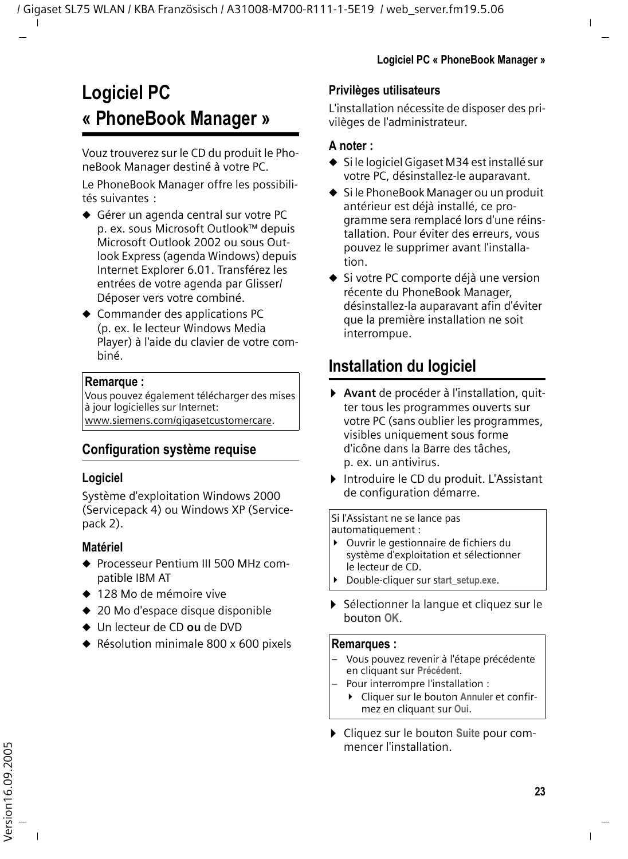## <span id="page-25-0"></span>**Logiciel PC « PhoneBook Manager »**

Vouz trouverez sur le CD du produit le PhoneBook Manager destiné à votre PC.

Le PhoneBook Manager offre les possibilités suivantes :

- ◆ Gérer un agenda central sur votre PC p. ex. sous Microsoft Outlook™ depuis Microsoft Outlook 2002 ou sous Outlook Express (agenda Windows) depuis Internet Explorer 6.01. Transférez les entrées de votre agenda par Glisser/ Déposer vers votre combiné.
- $\triangleleft$  Commander des applications PC (p. ex. le lecteur Windows Media Player) à l'aide du clavier de votre combiné.

#### **Remarque :**

Vous pouvez également télécharger des mises à jour logicielles sur Internet: [www.siemens.com/gigasetcustomercare.](www.siemens.com/gigasetcustomercare)

#### **Configuration système requise**

#### **Logiciel**

Système d'exploitation Windows 2000 (Servicepack 4) ou Windows XP (Servicepack 2).

#### **Matériel**

- ◆ Processeur Pentium III 500 MHz compatible IBM AT
- ◆ 128 Mo de mémoire vive
- $\triangleq$  20 Mo d'espace disque disponible
- ◆ Un lecteur de CD ou de DVD
- $\triangle$  Résolution minimale 800 x 600 pixels

#### **Privilèges utilisateurs**

L'installation nécessite de disposer des privilèges de l'administrateur.

#### **A noter :**

- $\bullet$  Si le logiciel Gigaset M34 est installé sur votre PC, désinstallez-le auparavant.
- $\bullet$  Si le PhoneBook Manager ou un produit antérieur est déjà installé, ce programme sera remplacé lors d'une réinstallation. Pour éviter des erreurs, vous pouvez le supprimer avant l'installation.
- $\bullet$  Si votre PC comporte déjà une version récente du PhoneBook Manager, désinstallez-la auparavant afin d'éviter que la première installation ne soit interrompue.

## <span id="page-25-2"></span><span id="page-25-1"></span>**Installation du logiciel**

- ¤ **Avant** de procéder à l'installation, quitter tous les programmes ouverts sur votre PC (sans oublier les programmes, visibles uniquement sous forme d'icône dans la Barre des tâches, p. ex. un antivirus.
- ▶ Introduire le CD du produit. L'Assistant de configuration démarre.

#### Si l'Assistant ne se lance pas automatiquement :

- ▶ Ouvrir le gestionnaire de fichiers du système d'exploitation et sélectionner le lecteur de CD.
- ¥ Double-cliquer sur s**tart\_setup.exe**.
- ▶ Sélectionner la langue et cliquez sur le bouton **OK**.

#### **Remarques :**

- Vous pouvez revenir à l'étape précédente en cliquant sur **Précédent**.
- Pour interrompre l'installation :
	- ▶ Cliquer sur le bouton Annuler et confirmez en cliquant sur **Oui**.
- ¤ Cliquez sur le bouton **Suite** pour commencer l'installation.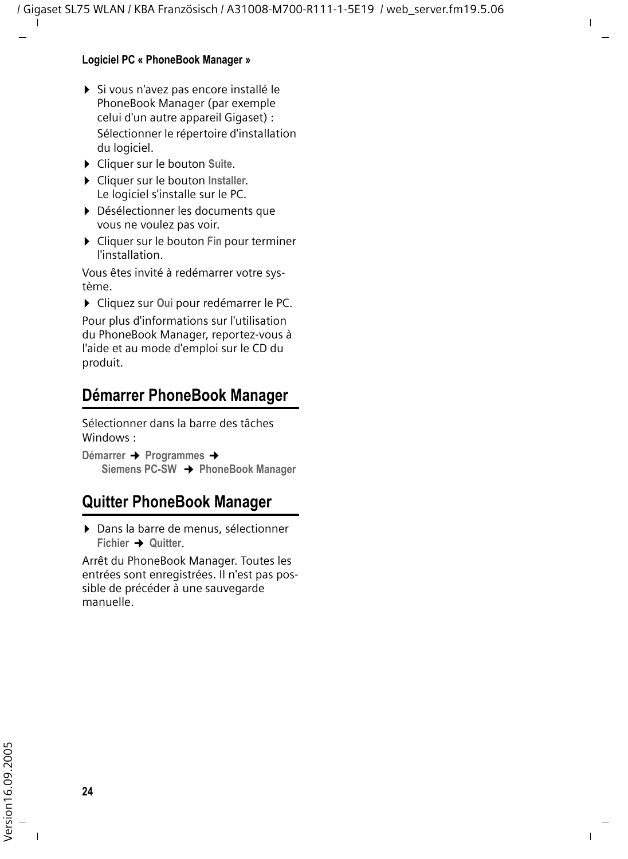#### **Logiciel PC « PhoneBook Manager »**

- ▶ Si vous n'avez pas encore installé le PhoneBook Manager (par exemple celui d'un autre appareil Gigaset) : Sélectionner le répertoire d'installation du logiciel.
- ¤ Cliquer sur le bouton **Suite**.
- ¤ Cliquer sur le bouton **Installer**. Le logiciel s'installe sur le PC.
- ¤ Désélectionner les documents que vous ne voulez pas voir.
- ¤ Cliquer sur le bouton **Fin** pour terminer l'installation.

Vous êtes invité à redémarrer votre système.

¤ Cliquez sur **Oui** pour redémarrer le PC.

Pour plus d'informations sur l'utilisation du PhoneBook Manager, reportez-vous à l'aide et au mode d'emploi sur le CD du produit.

## <span id="page-26-0"></span>**Démarrer PhoneBook Manager**

Sélectionner dans la barre des tâches Windows :

**Démarrer → Programmes → Siemens PC-SW** ¢**PhoneBook Manager** 

## <span id="page-26-1"></span>**Quitter PhoneBook Manager**

▶ Dans la barre de menus, sélectionner **Fichier** ¢ **Quitter**.

Arrêt du PhoneBook Manager. Toutes les entrées sont enregistrées. Il n'est pas possible de précéder à une sauvegarde manuelle.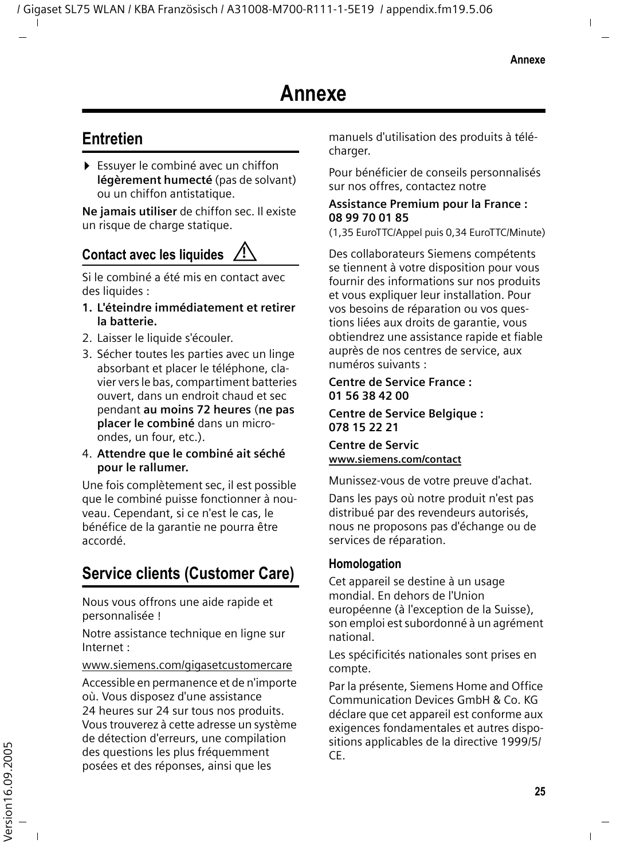## <span id="page-27-1"></span><span id="page-27-0"></span>**Entretien**

▶ Essuver le combiné avec un chiffon **légèrement humecté** (pas de solvant) ou un chiffon antistatique.

**Ne jamais utiliser** de chiffon sec. Il existe un risque de charge statique.

#### **Contact avec les liquides !**

Si le combiné a été mis en contact avec des liquides :

- **1. L'éteindre immédiatement et retirer la batterie.**
- 2. Laisser le liquide s'écouler.
- 3. Sécher toutes les parties avec un linge absorbant et placer le téléphone, clavier vers le bas, compartiment batteries ouvert, dans un endroit chaud et sec pendant **au moins 72 heures** (**ne pas placer le combiné** dans un microondes, un four, etc.).
- 4. **Attendre que le combiné ait séché pour le rallumer.**

Une fois complètement sec, il est possible que le combiné puisse fonctionner à nouveau. Cependant, si ce n'est le cas, le bénéfice de la garantie ne pourra être accordé.

## <span id="page-27-2"></span>**Service clients (Customer Care)**

Nous vous offrons une aide rapide et personnalisée !

Notre assistance technique en ligne sur Internet :

#### <www.siemens.com/gigasetcustomercare>

Accessible en permanence et de n'importe où. Vous disposez d'une assistance 24 heures sur 24 sur tous nos produits. Vous trouverez à cette adresse un système de détection d'erreurs, une compilation des questions les plus fréquemment posées et des réponses, ainsi que les

manuels d'utilisation des produits à télécharger.

Pour bénéficier de conseils personnalisés sur nos offres, contactez notre

#### **Assistance Premium pour la France : 08 99 70 01 85**

(1,35 EuroTTC/Appel puis 0,34 EuroTTC/Minute)

Des collaborateurs Siemens compétents se tiennent à votre disposition pour vous fournir des informations sur nos produits et vous expliquer leur installation. Pour vos besoins de réparation ou vos questions liées aux droits de garantie, vous obtiendrez une assistance rapide et fiable auprès de nos centres de service, aux numéros suivants :

#### **Centre de Service France : 01 56 38 42 00**

#### **Centre de Service Belgique : 078 15 22 21**

**Centre de Servic www.siemens.com/contact**

Munissez-vous de votre preuve d'achat.

Dans les pays où notre produit n'est pas distribué par des revendeurs autorisés, nous ne proposons pas d'échange ou de services de réparation.

#### **Homologation**

Cet appareil se destine à un usage mondial. En dehors de l'Union européenne (à l'exception de la Suisse), son emploi est subordonné à un agrément national.

Les spécificités nationales sont prises en compte.

Par la présente, Siemens Home and Office Communication Devices GmbH & Co. KG déclare que cet appareil est conforme aux exigences fondamentales et autres dispositions applicables de la directive 1999/5/ CE.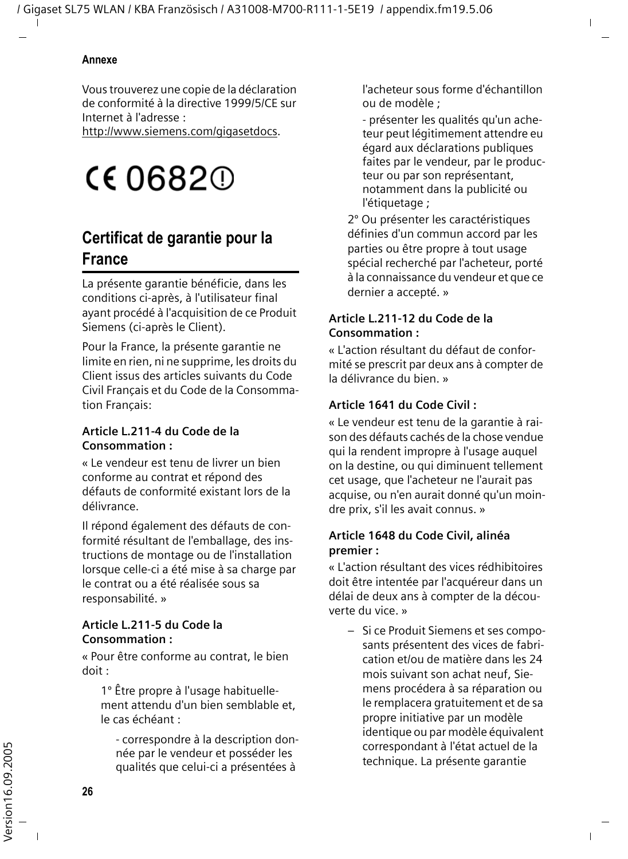Vous trouverez une copie de la déclaration de conformité à la directive 1999/5/CE sur Internet à l'adresse :

<http://www.siemens.com/gigasetdocs>.

## **CE06820**

## <span id="page-28-0"></span>**Certificat de garantie pour la France**

La présente garantie bénéficie, dans les conditions ci-après, à l'utilisateur final ayant procédé à l'acquisition de ce Produit Siemens (ci-après le Client).

Pour la France, la présente garantie ne limite en rien, ni ne supprime, les droits du Client issus des articles suivants du Code Civil Français et du Code de la Consommation Français:

#### **Article L.211-4 du Code de la Consommation :**

« Le vendeur est tenu de livrer un bien conforme au contrat et répond des défauts de conformité existant lors de la délivrance.

Il répond également des défauts de conformité résultant de l'emballage, des instructions de montage ou de l'installation lorsque celle-ci a été mise à sa charge par le contrat ou a été réalisée sous sa responsabilité. »

#### **Article L.211-5 du Code la Consommation :**

« Pour être conforme au contrat, le bien doit :

1º Être propre à l'usage habituellement attendu d'un bien semblable et, le cas échéant :

- correspondre à la description donnée par le vendeur et posséder les qualités que celui-ci a présentées à

l'acheteur sous forme d'échantillon ou de modèle ;

- présenter les qualités qu'un acheteur peut légitimement attendre eu égard aux déclarations publiques faites par le vendeur, par le producteur ou par son représentant, notamment dans la publicité ou l'étiquetage ;

2º Ou présenter les caractéristiques définies d'un commun accord par les parties ou être propre à tout usage spécial recherché par l'acheteur, porté à la connaissance du vendeur et que ce dernier a accepté. »

#### **Article L.211-12 du Code de la Consommation :**

« L'action résultant du défaut de conformité se prescrit par deux ans à compter de la délivrance du bien. »

#### **Article 1641 du Code Civil :**

« Le vendeur est tenu de la garantie à raison des défauts cachés de la chose vendue qui la rendent impropre à l'usage auquel on la destine, ou qui diminuent tellement cet usage, que l'acheteur ne l'aurait pas acquise, ou n'en aurait donné qu'un moindre prix, s'il les avait connus. »

#### **Article 1648 du Code Civil, alinéa premier :**

« L'action résultant des vices rédhibitoires doit être intentée par l'acquéreur dans un délai de deux ans à compter de la découverte du vice. »

– Si ce Produit Siemens et ses composants présentent des vices de fabrication et/ou de matière dans les 24 mois suivant son achat neuf, Siemens procédera à sa réparation ou le remplacera gratuitement et de sa propre initiative par un modèle identique ou par modèle équivalent correspondant à l'état actuel de la technique. La présente garantie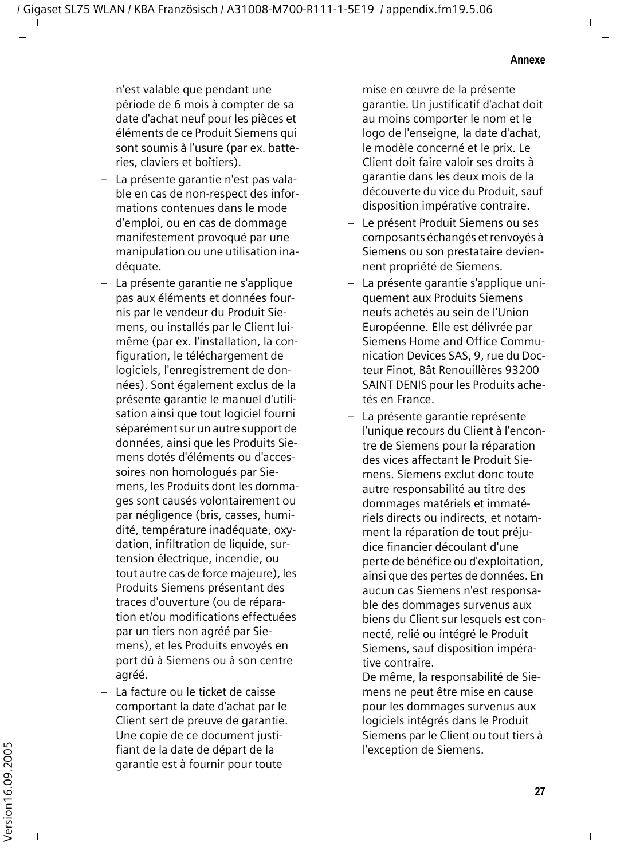n'est valable que pendant une période de 6 mois à compter de sa date d'achat neuf pour les pièces et éléments de ce Produit Siemens qui sont soumis à l'usure (par ex. batteries, claviers et boîtiers).

- La présente garantie n'est pas valable en cas de non-respect des informations contenues dans le mode d'emploi, ou en cas de dommage manifestement provoqué par une manipulation ou une utilisation inadéquate.
- La présente garantie ne s'applique pas aux éléments et données fournis par le vendeur du Produit Siemens, ou installés par le Client luimême (par ex. l'installation, la configuration, le téléchargement de logiciels, l'enregistrement de données). Sont également exclus de la présente garantie le manuel d'utilisation ainsi que tout logiciel fourni séparément sur un autre support de données, ainsi que les Produits Siemens dotés d'éléments ou d'accessoires non homologués par Siemens, les Produits dont les dommages sont causés volontairement ou par négligence (bris, casses, humidité, température inadéquate, oxydation, infiltration de liquide, surtension électrique, incendie, ou tout autre cas de force majeure), les Produits Siemens présentant des traces d'ouverture (ou de réparation et/ou modifications effectuées par un tiers non agréé par Siemens), et les Produits envoyés en port dû à Siemens ou à son centre agréé.
- La facture ou le ticket de caisse comportant la date d'achat par le Client sert de preuve de garantie. Une copie de ce document justifiant de la date de départ de la garantie est à fournir pour toute

mise en œuvre de la présente garantie. Un justificatif d'achat doit au moins comporter le nom et le logo de l'enseigne, la date d'achat, le modèle concerné et le prix. Le Client doit faire valoir ses droits à garantie dans les deux mois de la découverte du vice du Produit, sauf disposition impérative contraire.

- Le présent Produit Siemens ou ses composants échangés et renvoyés à Siemens ou son prestataire deviennent propriété de Siemens.
- La présente garantie s'applique uniquement aux Produits Siemens neufs achetés au sein de l'Union Européenne. Elle est délivrée par Siemens Home and Office Communication Devices SAS, 9, rue du Docteur Finot, Bât Renouillères 93200 SAINT DENIS pour les Produits achetés en France.
- La présente garantie représente l'unique recours du Client à l'encontre de Siemens pour la réparation des vices affectant le Produit Siemens. Siemens exclut donc toute autre responsabilité au titre des dommages matériels et immatériels directs ou indirects, et notamment la réparation de tout préjudice financier découlant d'une perte de bénéfice ou d'exploitation, ainsi que des pertes de données. En aucun cas Siemens n'est responsable des dommages survenus aux biens du Client sur lesquels est connecté, relié ou intégré le Produit Siemens, sauf disposition impérative contraire.

De même, la responsabilité de Siemens ne peut être mise en cause pour les dommages survenus aux logiciels intégrés dans le Produit Siemens par le Client ou tout tiers à l'exception de Siemens.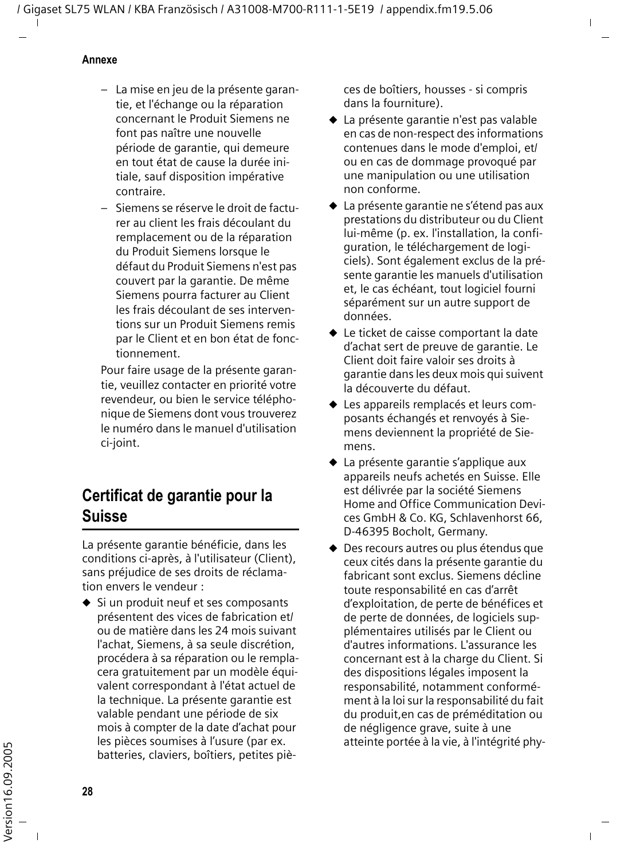#### **Annexe**

- La mise en jeu de la présente garantie, et l'échange ou la réparation concernant le Produit Siemens ne font pas naître une nouvelle période de garantie, qui demeure en tout état de cause la durée initiale, sauf disposition impérative contraire.
- Siemens se réserve le droit de facturer au client les frais découlant du remplacement ou de la réparation du Produit Siemens lorsque le défaut du Produit Siemens n'est pas couvert par la garantie. De même Siemens pourra facturer au Client les frais découlant de ses interventions sur un Produit Siemens remis par le Client et en bon état de fonctionnement.

Pour faire usage de la présente garantie, veuillez contacter en priorité votre revendeur, ou bien le service téléphonique de Siemens dont vous trouverez le numéro dans le manuel d'utilisation ci-joint.

## <span id="page-30-0"></span>**Certificat de garantie pour la Suisse**

La présente garantie bénéficie, dans les conditions ci-après, à l'utilisateur (Client), sans préjudice de ses droits de réclamation envers le vendeur :

 $\bullet$  Si un produit neuf et ses composants présentent des vices de fabrication et/ ou de matière dans les 24 mois suivant l'achat, Siemens, à sa seule discrétion, procédera à sa réparation ou le remplacera gratuitement par un modèle équivalent correspondant à l'état actuel de la technique. La présente garantie est valable pendant une période de six mois à compter de la date d'achat pour les pièces soumises à l'usure (par ex. batteries, claviers, boîtiers, petites pièces de boîtiers, housses - si compris dans la fourniture).

- $\triangle$  La présente garantie n'est pas valable en cas de non-respect des informations contenues dans le mode d'emploi, et/ ou en cas de dommage provoqué par une manipulation ou une utilisation non conforme.
- $\triangle$  La présente garantie ne s'étend pas aux prestations du distributeur ou du Client lui-même (p. ex. l'installation, la configuration, le téléchargement de logiciels). Sont également exclus de la présente garantie les manuels d'utilisation et, le cas échéant, tout logiciel fourni séparément sur un autre support de données.
- $\blacklozenge$  Le ticket de caisse comportant la date d'achat sert de preuve de garantie. Le Client doit faire valoir ses droits à garantie dans les deux mois qui suivent la découverte du défaut.
- $\blacklozenge$  Les appareils remplacés et leurs composants échangés et renvoyés à Siemens deviennent la propriété de Siemens.
- $\triangle$  La présente garantie s'applique aux appareils neufs achetés en Suisse. Elle est délivrée par la société Siemens Home and Office Communication Devices GmbH & Co. KG, Schlavenhorst 66, D-46395 Bocholt, Germany.
- ◆ Des recours autres ou plus étendus que ceux cités dans la présente garantie du fabricant sont exclus. Siemens décline toute responsabilité en cas d'arrêt d'exploitation, de perte de bénéfices et de perte de données, de logiciels supplémentaires utilisés par le Client ou d'autres informations. L'assurance les concernant est à la charge du Client. Si des dispositions légales imposent la responsabilité, notamment conformément à la loi sur la responsabilité du fait du produit,en cas de préméditation ou de négligence grave, suite à une atteinte portée à la vie, à l'intégrité phy-